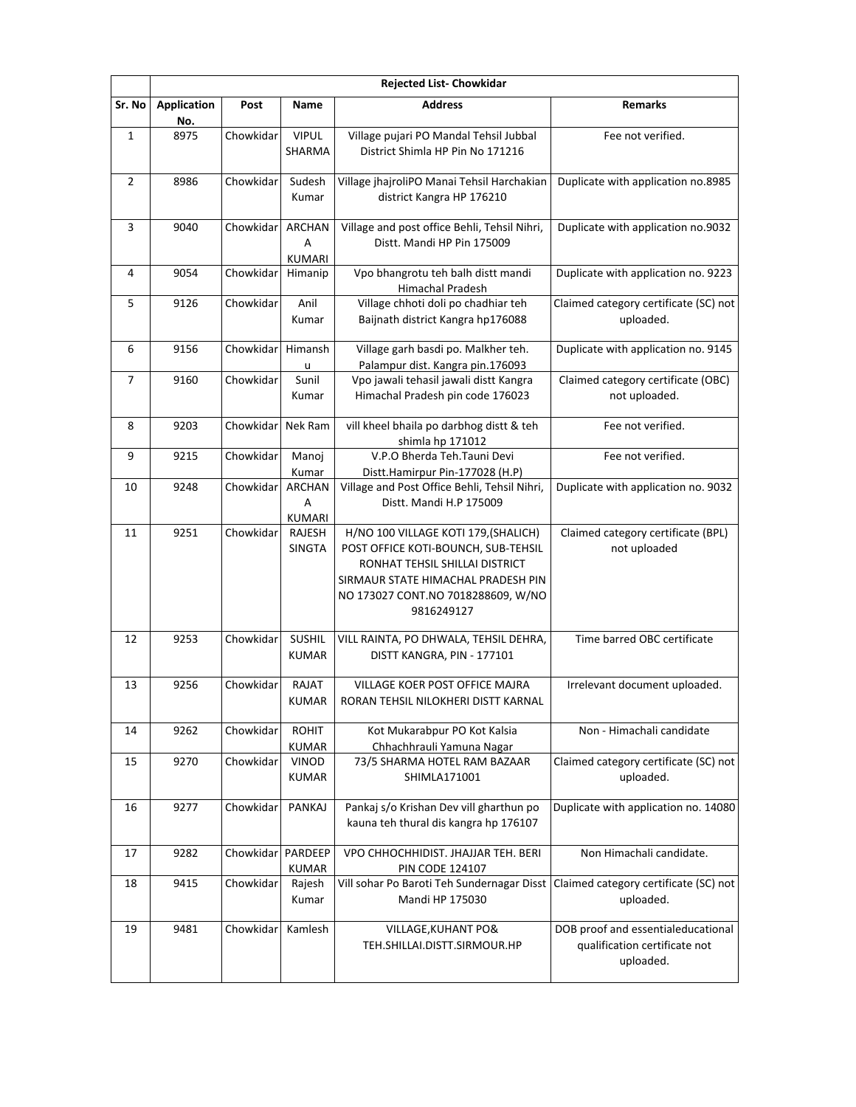|              | <b>Rejected List- Chowkidar</b> |           |                               |                                                                                                                                                                                                         |                                                                                  |  |
|--------------|---------------------------------|-----------|-------------------------------|---------------------------------------------------------------------------------------------------------------------------------------------------------------------------------------------------------|----------------------------------------------------------------------------------|--|
| Sr. No       | <b>Application</b><br>No.       | Post      | Name                          | <b>Address</b>                                                                                                                                                                                          | <b>Remarks</b>                                                                   |  |
| $\mathbf{1}$ | 8975                            | Chowkidar | <b>VIPUL</b><br>SHARMA        | Village pujari PO Mandal Tehsil Jubbal<br>District Shimla HP Pin No 171216                                                                                                                              | Fee not verified.                                                                |  |
| 2            | 8986                            | Chowkidar | Sudesh<br>Kumar               | Village jhajroliPO Manai Tehsil Harchakian<br>district Kangra HP 176210                                                                                                                                 | Duplicate with application no.8985                                               |  |
| 3            | 9040                            | Chowkidar | <b>ARCHAN</b><br>Α<br>KUMARI  | Village and post office Behli, Tehsil Nihri,<br>Distt. Mandi HP Pin 175009                                                                                                                              | Duplicate with application no.9032                                               |  |
| 4            | 9054                            | Chowkidar | Himanip                       | Vpo bhangrotu teh balh distt mandi<br>Himachal Pradesh                                                                                                                                                  | Duplicate with application no. 9223                                              |  |
| 5            | 9126                            | Chowkidar | Anil<br>Kumar                 | Village chhoti doli po chadhiar teh<br>Baijnath district Kangra hp176088                                                                                                                                | Claimed category certificate (SC) not<br>uploaded.                               |  |
| 6            | 9156                            | Chowkidar | Himansh<br>u                  | Village garh basdi po. Malkher teh.<br>Palampur dist. Kangra pin.176093                                                                                                                                 | Duplicate with application no. 9145                                              |  |
| 7            | 9160                            | Chowkidar | Sunil<br>Kumar                | Vpo jawali tehasil jawali distt Kangra<br>Himachal Pradesh pin code 176023                                                                                                                              | Claimed category certificate (OBC)<br>not uploaded.                              |  |
| 8            | 9203                            | Chowkidar | Nek Ram                       | vill kheel bhaila po darbhog distt & teh<br>shimla hp 171012                                                                                                                                            | Fee not verified.                                                                |  |
| 9            | 9215                            | Chowkidar | Manoj<br>Kumar                | V.P.O Bherda Teh.Tauni Devi<br>Distt.Hamirpur Pin-177028 (H.P)                                                                                                                                          | Fee not verified.                                                                |  |
| 10           | 9248                            | Chowkidar | <b>ARCHAN</b><br>Α<br>KUMARI  | Village and Post Office Behli, Tehsil Nihri,<br>Distt. Mandi H.P 175009                                                                                                                                 | Duplicate with application no. 9032                                              |  |
| 11           | 9251                            | Chowkidar | RAJESH<br><b>SINGTA</b>       | H/NO 100 VILLAGE KOTI 179, (SHALICH)<br>POST OFFICE KOTI-BOUNCH, SUB-TEHSIL<br>RONHAT TEHSIL SHILLAI DISTRICT<br>SIRMAUR STATE HIMACHAL PRADESH PIN<br>NO 173027 CONT.NO 7018288609, W/NO<br>9816249127 | Claimed category certificate (BPL)<br>not uploaded                               |  |
| 12           | 9253                            | Chowkidar | <b>SUSHIL</b><br><b>KUMAR</b> | VILL RAINTA, PO DHWALA, TEHSIL DEHRA,<br>DISTT KANGRA, PIN - 177101                                                                                                                                     | Time barred OBC certificate                                                      |  |
| 13           | 9256                            | Chowkidar | RAJAT<br><b>KUMAR</b>         | VILLAGE KOER POST OFFICE MAJRA<br>RORAN TEHSIL NILOKHERI DISTT KARNAL                                                                                                                                   | Irrelevant document uploaded.                                                    |  |
| 14           | 9262                            | Chowkidar | <b>ROHIT</b><br><b>KUMAR</b>  | Kot Mukarabpur PO Kot Kalsia<br>Chhachhrauli Yamuna Nagar                                                                                                                                               | Non - Himachali candidate                                                        |  |
| 15           | 9270                            | Chowkidar | VINOD<br><b>KUMAR</b>         | 73/5 SHARMA HOTEL RAM BAZAAR<br>SHIMLA171001                                                                                                                                                            | Claimed category certificate (SC) not<br>uploaded.                               |  |
| 16           | 9277                            | Chowkidar | PANKAJ                        | Pankaj s/o Krishan Dev vill gharthun po<br>kauna teh thural dis kangra hp 176107                                                                                                                        | Duplicate with application no. 14080                                             |  |
| 17           | 9282                            | Chowkidar | PARDEEP<br><b>KUMAR</b>       | VPO CHHOCHHIDIST. JHAJJAR TEH. BERI<br><b>PIN CODE 124107</b>                                                                                                                                           | Non Himachali candidate.                                                         |  |
| 18           | 9415                            | Chowkidar | Rajesh<br>Kumar               | Vill sohar Po Baroti Teh Sundernagar Disst<br>Mandi HP 175030                                                                                                                                           | Claimed category certificate (SC) not<br>uploaded.                               |  |
| 19           | 9481                            | Chowkidar | Kamlesh                       | VILLAGE, KUHANT PO&<br>TEH.SHILLAI.DISTT.SIRMOUR.HP                                                                                                                                                     | DOB proof and essentialeducational<br>qualification certificate not<br>uploaded. |  |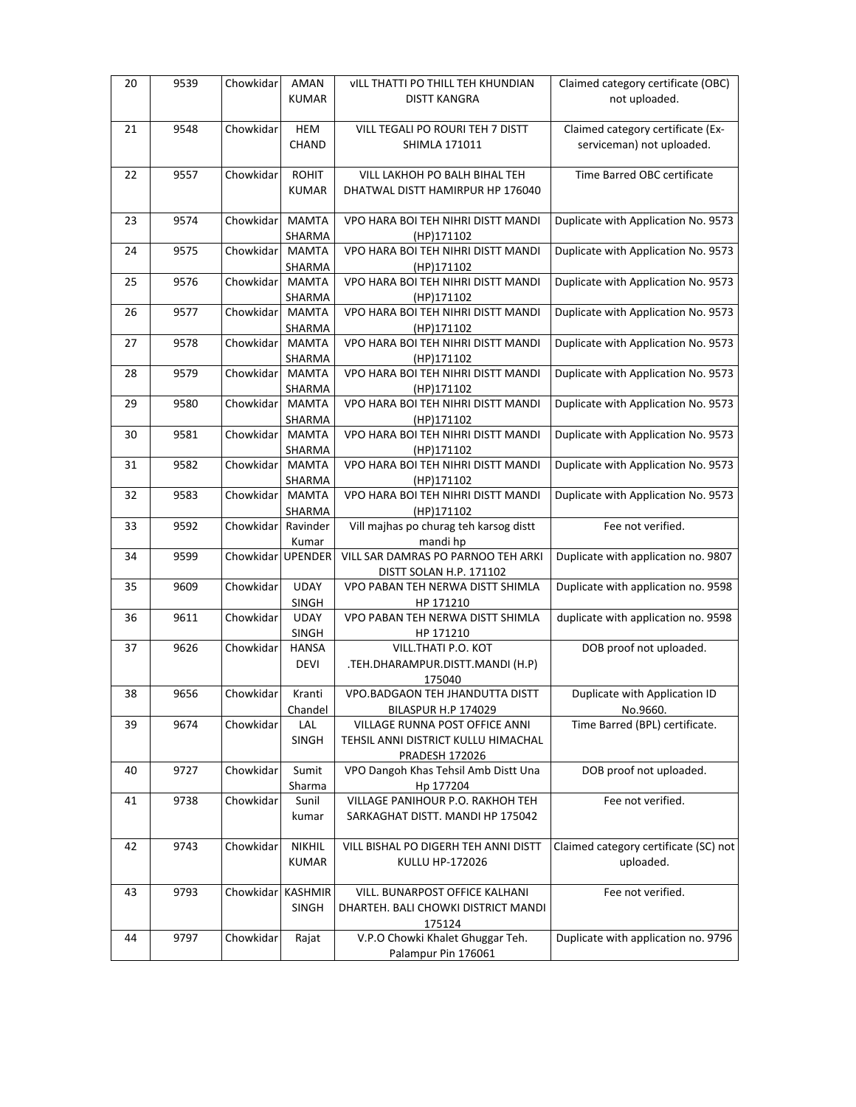| 20 | 9539 | Chowkidar         | AMAN                   | VILL THATTI PO THILL TEH KHUNDIAN                | Claimed category certificate (OBC)    |
|----|------|-------------------|------------------------|--------------------------------------------------|---------------------------------------|
|    |      |                   | <b>KUMAR</b>           | <b>DISTT KANGRA</b>                              | not uploaded.                         |
|    |      |                   |                        |                                                  |                                       |
| 21 | 9548 | Chowkidar         | <b>HEM</b>             | VILL TEGALI PO ROURI TEH 7 DISTT                 | Claimed category certificate (Ex-     |
|    |      |                   | CHAND                  | SHIMLA 171011                                    | serviceman) not uploaded.             |
|    |      |                   |                        |                                                  |                                       |
| 22 | 9557 | Chowkidar         | <b>ROHIT</b>           | VILL LAKHOH PO BALH BIHAL TEH                    | Time Barred OBC certificate           |
|    |      |                   | <b>KUMAR</b>           | DHATWAL DISTT HAMIRPUR HP 176040                 |                                       |
|    |      |                   |                        |                                                  |                                       |
| 23 | 9574 | Chowkidar         | <b>MAMTA</b>           | VPO HARA BOI TEH NIHRI DISTT MANDI               | Duplicate with Application No. 9573   |
|    |      |                   | SHARMA                 | (HP)171102                                       |                                       |
| 24 | 9575 | Chowkidar         | <b>MAMTA</b>           | VPO HARA BOI TEH NIHRI DISTT MANDI               | Duplicate with Application No. 9573   |
|    |      |                   | SHARMA                 | (HP)171102                                       |                                       |
| 25 | 9576 | Chowkidar         | <b>MAMTA</b>           | VPO HARA BOI TEH NIHRI DISTT MANDI               | Duplicate with Application No. 9573   |
|    |      |                   | SHARMA                 | (HP)171102                                       |                                       |
| 26 | 9577 | Chowkidar         | <b>MAMTA</b>           | VPO HARA BOI TEH NIHRI DISTT MANDI               | Duplicate with Application No. 9573   |
|    |      |                   | SHARMA                 | (HP)171102                                       |                                       |
| 27 | 9578 | Chowkidar         | <b>MAMTA</b>           | VPO HARA BOI TEH NIHRI DISTT MANDI               | Duplicate with Application No. 9573   |
|    |      | Chowkidar         | SHARMA                 | (HP)171102<br>VPO HARA BOI TEH NIHRI DISTT MANDI | Duplicate with Application No. 9573   |
| 28 | 9579 |                   | <b>MAMTA</b>           |                                                  |                                       |
| 29 | 9580 | Chowkidar         | SHARMA<br><b>MAMTA</b> | (HP)171102<br>VPO HARA BOI TEH NIHRI DISTT MANDI | Duplicate with Application No. 9573   |
|    |      |                   |                        |                                                  |                                       |
| 30 | 9581 | Chowkidar         | SHARMA<br><b>MAMTA</b> | (HP)171102<br>VPO HARA BOI TEH NIHRI DISTT MANDI | Duplicate with Application No. 9573   |
|    |      |                   | SHARMA                 | (HP)171102                                       |                                       |
| 31 | 9582 | Chowkidar         | MAMTA                  | VPO HARA BOI TEH NIHRI DISTT MANDI               | Duplicate with Application No. 9573   |
|    |      |                   | SHARMA                 | (HP)171102                                       |                                       |
| 32 | 9583 | Chowkidar         | <b>MAMTA</b>           | VPO HARA BOI TEH NIHRI DISTT MANDI               | Duplicate with Application No. 9573   |
|    |      |                   | SHARMA                 | (HP)171102                                       |                                       |
| 33 | 9592 | Chowkidar         | Ravinder               | Vill majhas po churag teh karsog distt           | Fee not verified.                     |
|    |      |                   | Kumar                  | mandi hp                                         |                                       |
| 34 | 9599 | Chowkidar UPENDER |                        | VILL SAR DAMRAS PO PARNOO TEH ARKI               | Duplicate with application no. 9807   |
|    |      |                   |                        | DISTT SOLAN H.P. 171102                          |                                       |
| 35 | 9609 | Chowkidar         | <b>UDAY</b>            | VPO PABAN TEH NERWA DISTT SHIMLA                 | Duplicate with application no. 9598   |
|    |      |                   | SINGH                  | HP 171210                                        |                                       |
| 36 | 9611 | Chowkidar         | <b>UDAY</b>            | VPO PABAN TEH NERWA DISTT SHIMLA                 | duplicate with application no. 9598   |
|    |      |                   | SINGH                  | HP 171210                                        |                                       |
| 37 | 9626 | Chowkidar         | <b>HANSA</b>           | VILL.THATI P.O. KOT                              | DOB proof not uploaded.               |
|    |      |                   | <b>DEVI</b>            | .TEH.DHARAMPUR.DISTT.MANDI (H.P)                 |                                       |
|    |      |                   |                        | 175040                                           |                                       |
| 38 | 9656 | Chowkidar         | Kranti                 | VPO.BADGAON TEH JHANDUTTA DISTT                  | Duplicate with Application ID         |
|    |      |                   | Chandel                | <b>BILASPUR H.P 174029</b>                       | No.9660.                              |
| 39 | 9674 | Chowkidar         | LAL                    | VILLAGE RUNNA POST OFFICE ANNI                   | Time Barred (BPL) certificate.        |
|    |      |                   | SINGH                  | TEHSIL ANNI DISTRICT KULLU HIMACHAL              |                                       |
|    |      |                   |                        | <b>PRADESH 172026</b>                            |                                       |
| 40 | 9727 | Chowkidar         | Sumit                  | VPO Dangoh Khas Tehsil Amb Distt Una             | DOB proof not uploaded.               |
|    |      |                   | Sharma                 | Hp 177204                                        |                                       |
| 41 | 9738 | Chowkidar         | Sunil                  | VILLAGE PANIHOUR P.O. RAKHOH TEH                 | Fee not verified.                     |
|    |      |                   | kumar                  | SARKAGHAT DISTT. MANDI HP 175042                 |                                       |
|    |      |                   |                        |                                                  |                                       |
| 42 | 9743 | Chowkidar         | NIKHIL                 | VILL BISHAL PO DIGERH TEH ANNI DISTT             | Claimed category certificate (SC) not |
|    |      |                   | <b>KUMAR</b>           | KULLU HP-172026                                  | uploaded.                             |
|    |      |                   |                        |                                                  |                                       |
| 43 | 9793 | Chowkidar         | <b>KASHMIR</b>         | VILL. BUNARPOST OFFICE KALHANI                   | Fee not verified.                     |
|    |      |                   | <b>SINGH</b>           | DHARTEH. BALI CHOWKI DISTRICT MANDI              |                                       |
|    |      |                   |                        | 175124                                           |                                       |
| 44 | 9797 | Chowkidar         | Rajat                  | V.P.O Chowki Khalet Ghuggar Teh.                 | Duplicate with application no. 9796   |
|    |      |                   |                        | Palampur Pin 176061                              |                                       |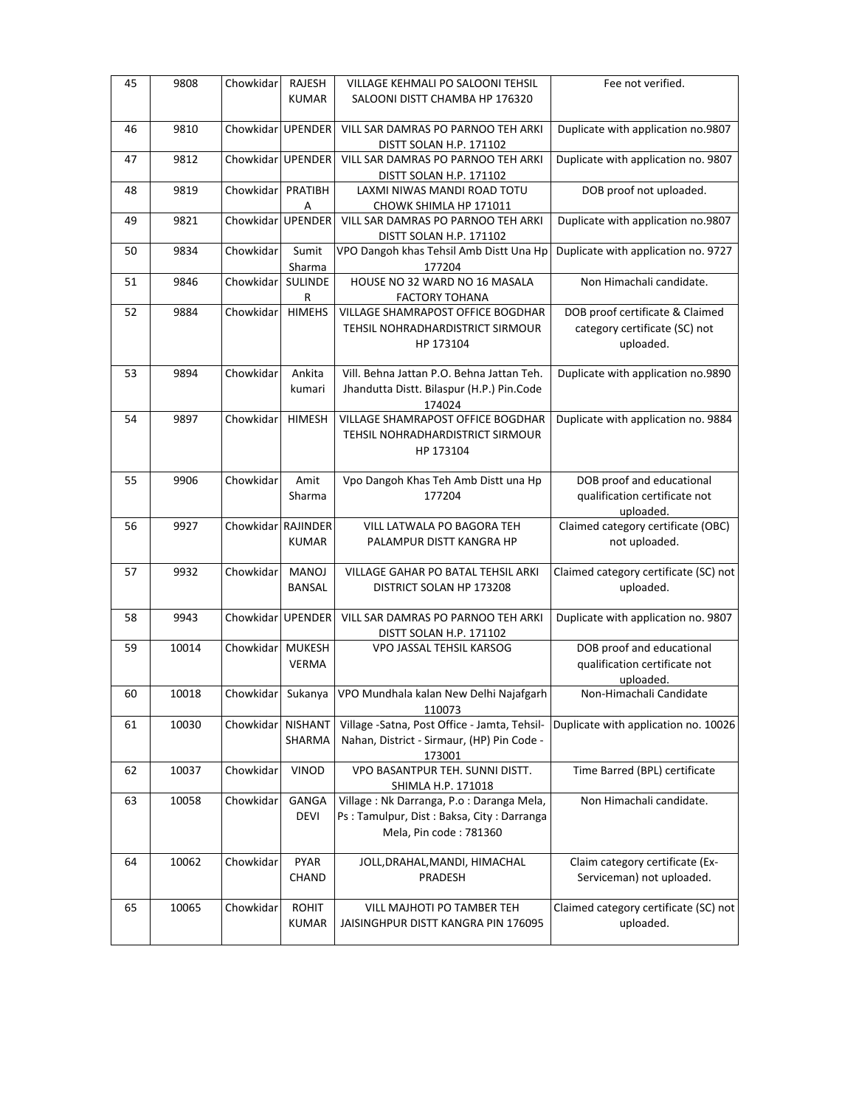| 45 | 9808  | Chowkidar          | RAJESH<br><b>KUMAR</b>        | <b>VILLAGE KEHMALI PO SALOONI TEHSIL</b><br>SALOONI DISTT CHAMBA HP 176320                                       | Fee not verified.                                                             |
|----|-------|--------------------|-------------------------------|------------------------------------------------------------------------------------------------------------------|-------------------------------------------------------------------------------|
| 46 | 9810  | Chowkidar UPENDER  |                               | VILL SAR DAMRAS PO PARNOO TEH ARKI<br>DISTT SOLAN H.P. 171102                                                    | Duplicate with application no.9807                                            |
| 47 | 9812  | Chowkidar          | <b>UPENDER</b>                | VILL SAR DAMRAS PO PARNOO TEH ARKI<br>DISTT SOLAN H.P. 171102                                                    | Duplicate with application no. 9807                                           |
| 48 | 9819  | Chowkidar          | PRATIBH<br>Α                  | LAXMI NIWAS MANDI ROAD TOTU<br>CHOWK SHIMLA HP 171011                                                            | DOB proof not uploaded.                                                       |
| 49 | 9821  | Chowkidar UPENDER  |                               | VILL SAR DAMRAS PO PARNOO TEH ARKI<br>DISTT SOLAN H.P. 171102                                                    | Duplicate with application no.9807                                            |
| 50 | 9834  | Chowkidar          | Sumit<br>Sharma               | VPO Dangoh khas Tehsil Amb Distt Una Hp<br>177204                                                                | Duplicate with application no. 9727                                           |
| 51 | 9846  | Chowkidar          | SULINDE<br>R                  | HOUSE NO 32 WARD NO 16 MASALA<br><b>FACTORY TOHANA</b>                                                           | Non Himachali candidate.                                                      |
| 52 | 9884  | Chowkidar          | <b>HIMEHS</b>                 | VILLAGE SHAMRAPOST OFFICE BOGDHAR<br>TEHSIL NOHRADHARDISTRICT SIRMOUR<br>HP 173104                               | DOB proof certificate & Claimed<br>category certificate (SC) not<br>uploaded. |
| 53 | 9894  | Chowkidar          | Ankita<br>kumari              | Vill. Behna Jattan P.O. Behna Jattan Teh.<br>Jhandutta Distt. Bilaspur (H.P.) Pin.Code<br>174024                 | Duplicate with application no.9890                                            |
| 54 | 9897  | Chowkidar          | <b>HIMESH</b>                 | <b>VILLAGE SHAMRAPOST OFFICE BOGDHAR</b><br>TEHSIL NOHRADHARDISTRICT SIRMOUR<br>HP 173104                        | Duplicate with application no. 9884                                           |
| 55 | 9906  | Chowkidar          | Amit<br>Sharma                | Vpo Dangoh Khas Teh Amb Distt una Hp<br>177204                                                                   | DOB proof and educational<br>qualification certificate not<br>uploaded.       |
| 56 | 9927  | Chowkidar RAJINDER | <b>KUMAR</b>                  | VILL LATWALA PO BAGORA TEH<br>PALAMPUR DISTT KANGRA HP                                                           | Claimed category certificate (OBC)<br>not uploaded.                           |
| 57 | 9932  | Chowkidar          | <b>MANOJ</b><br><b>BANSAL</b> | VILLAGE GAHAR PO BATAL TEHSIL ARKI<br>DISTRICT SOLAN HP 173208                                                   | Claimed category certificate (SC) not<br>uploaded.                            |
| 58 | 9943  | Chowkidar          | <b>UPENDER</b>                | VILL SAR DAMRAS PO PARNOO TEH ARKI<br>DISTT SOLAN H.P. 171102                                                    | Duplicate with application no. 9807                                           |
| 59 | 10014 | Chowkidar          | <b>MUKESH</b><br><b>VERMA</b> | VPO JASSAL TEHSIL KARSOG                                                                                         | DOB proof and educational<br>qualification certificate not<br>uploaded.       |
| 60 | 10018 |                    |                               | Chowkidar Sukanya   VPO Mundhala kalan New Delhi Najafgarh<br>110073                                             | Non-Himachali Candidate                                                       |
| 61 | 10030 | Chowkidar          | <b>NISHANT</b><br>SHARMA      | Village -Satna, Post Office - Jamta, Tehsil-<br>Nahan, District - Sirmaur, (HP) Pin Code -<br>173001             | Duplicate with application no. 10026                                          |
| 62 | 10037 | Chowkidar          | VINOD                         | VPO BASANTPUR TEH. SUNNI DISTT.<br>SHIMLA H.P. 171018                                                            | Time Barred (BPL) certificate                                                 |
| 63 | 10058 | Chowkidar          | GANGA<br>DEVI                 | Village: Nk Darranga, P.o : Daranga Mela,<br>Ps: Tamulpur, Dist: Baksa, City: Darranga<br>Mela, Pin code: 781360 | Non Himachali candidate.                                                      |
| 64 | 10062 | Chowkidar          | <b>PYAR</b><br>CHAND          | JOLL, DRAHAL, MANDI, HIMACHAL<br>PRADESH                                                                         | Claim category certificate (Ex-<br>Serviceman) not uploaded.                  |
| 65 | 10065 | Chowkidar          | <b>ROHIT</b><br><b>KUMAR</b>  | VILL MAJHOTI PO TAMBER TEH<br>JAISINGHPUR DISTT KANGRA PIN 176095                                                | Claimed category certificate (SC) not<br>uploaded.                            |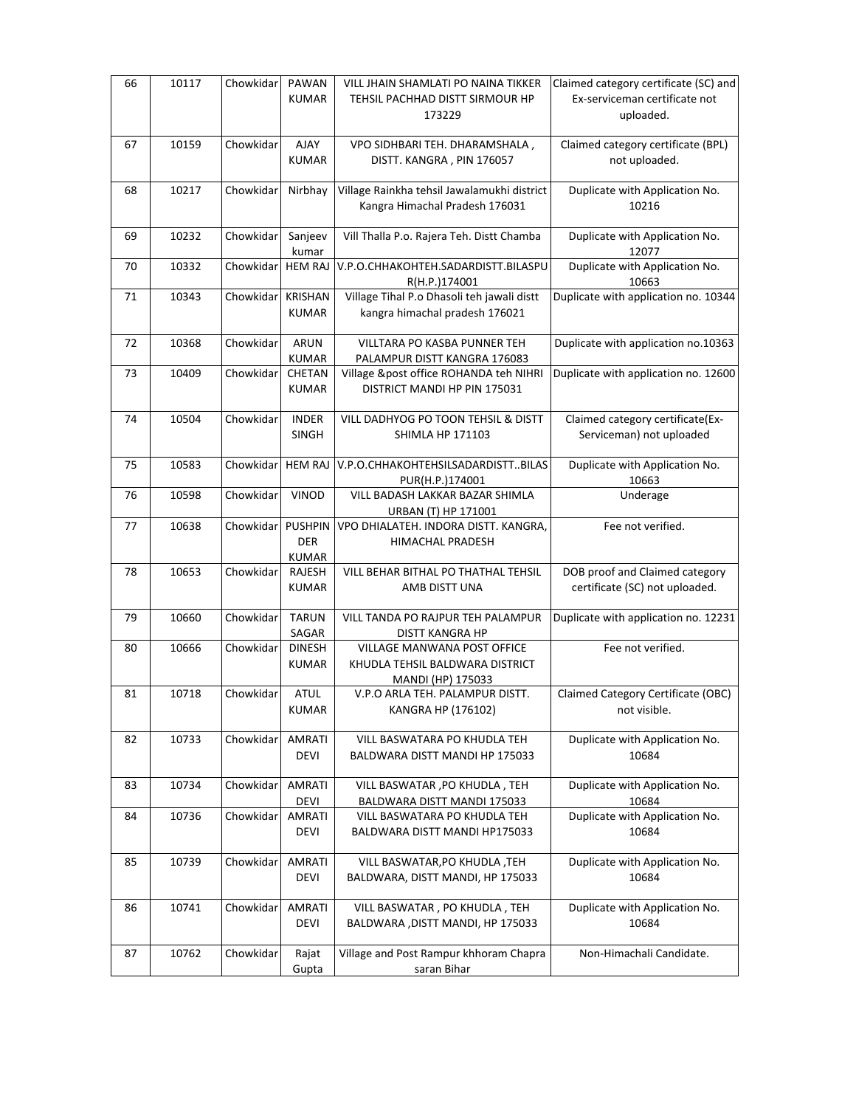| 66 | 10117 | Chowkidar | PAWAN                  | VILL JHAIN SHAMLATI PO NAINA TIKKER                         | Claimed category certificate (SC) and         |
|----|-------|-----------|------------------------|-------------------------------------------------------------|-----------------------------------------------|
|    |       |           | <b>KUMAR</b>           | TEHSIL PACHHAD DISTT SIRMOUR HP                             | Ex-serviceman certificate not                 |
|    |       |           |                        | 173229                                                      | uploaded.                                     |
|    |       |           |                        |                                                             |                                               |
| 67 | 10159 | Chowkidar | AJAY                   | VPO SIDHBARI TEH. DHARAMSHALA,                              | Claimed category certificate (BPL)            |
|    |       |           | <b>KUMAR</b>           | DISTT. KANGRA, PIN 176057                                   | not uploaded.                                 |
|    |       |           |                        |                                                             |                                               |
| 68 | 10217 | Chowkidar | Nirbhay                | Village Rainkha tehsil Jawalamukhi district                 | Duplicate with Application No.                |
|    |       |           |                        | Kangra Himachal Pradesh 176031                              | 10216                                         |
|    |       |           |                        |                                                             |                                               |
| 69 | 10232 | Chowkidar | Sanjeev                | Vill Thalla P.o. Rajera Teh. Distt Chamba                   | Duplicate with Application No.                |
|    |       |           | kumar                  |                                                             | 12077                                         |
| 70 | 10332 | Chowkidar | <b>HEM RAJ</b>         | V.P.O.CHHAKOHTEH.SADARDISTT.BILASPU                         | Duplicate with Application No.                |
| 71 | 10343 | Chowkidar | <b>KRISHAN</b>         | R(H.P.)174001<br>Village Tihal P.o Dhasoli teh jawali distt | 10663<br>Duplicate with application no. 10344 |
|    |       |           | <b>KUMAR</b>           | kangra himachal pradesh 176021                              |                                               |
|    |       |           |                        |                                                             |                                               |
| 72 | 10368 | Chowkidar | <b>ARUN</b>            | VILLTARA PO KASBA PUNNER TEH                                | Duplicate with application no.10363           |
|    |       |           | <b>KUMAR</b>           | PALAMPUR DISTT KANGRA 176083                                |                                               |
| 73 | 10409 | Chowkidar | CHETAN                 | Village &post office ROHANDA teh NIHRI                      | Duplicate with application no. 12600          |
|    |       |           | <b>KUMAR</b>           | DISTRICT MANDI HP PIN 175031                                |                                               |
|    |       |           |                        |                                                             |                                               |
| 74 | 10504 | Chowkidar | <b>INDER</b>           | VILL DADHYOG PO TOON TEHSIL & DISTT                         | Claimed category certificate(Ex-              |
|    |       |           | SINGH                  | <b>SHIMLA HP 171103</b>                                     | Serviceman) not uploaded                      |
|    |       |           |                        |                                                             |                                               |
| 75 | 10583 | Chowkidar | <b>HEM RAJ</b>         | V.P.O.CHHAKOHTEHSILSADARDISTTBILAS                          | Duplicate with Application No.                |
|    |       |           |                        | PUR(H.P.)174001                                             | 10663                                         |
| 76 | 10598 | Chowkidar | VINOD                  | VILL BADASH LAKKAR BAZAR SHIMLA                             | Underage                                      |
|    |       |           |                        | URBAN (T) HP 171001                                         |                                               |
| 77 | 10638 | Chowkidar | <b>PUSHPIN</b>         | VPO DHIALATEH. INDORA DISTT. KANGRA,                        | Fee not verified.                             |
|    |       |           | <b>DER</b>             | HIMACHAL PRADESH                                            |                                               |
| 78 | 10653 | Chowkidar | <b>KUMAR</b><br>RAJESH | VILL BEHAR BITHAL PO THATHAL TEHSIL                         | DOB proof and Claimed category                |
|    |       |           | <b>KUMAR</b>           | AMB DISTT UNA                                               | certificate (SC) not uploaded.                |
|    |       |           |                        |                                                             |                                               |
| 79 | 10660 | Chowkidar | <b>TARUN</b>           | VILL TANDA PO RAJPUR TEH PALAMPUR                           | Duplicate with application no. 12231          |
|    |       |           | SAGAR                  | DISTT KANGRA HP                                             |                                               |
| 80 | 10666 | Chowkidar | <b>DINESH</b>          | <b>VILLAGE MANWANA POST OFFICE</b>                          | Fee not verified.                             |
|    |       |           | <b>KUMAR</b>           | KHUDLA TEHSIL BALDWARA DISTRICT                             |                                               |
|    |       |           |                        | MANDI (HP) 175033                                           |                                               |
| 81 | 10718 | Chowkidar | <b>ATUL</b>            | V.P.O ARLA TEH. PALAMPUR DISTT.                             | Claimed Category Certificate (OBC)            |
|    |       |           | KUMAR                  | KANGRA HP (176102)                                          | not visible.                                  |
|    |       |           |                        |                                                             |                                               |
| 82 | 10733 | Chowkidar | <b>AMRATI</b>          | VILL BASWATARA PO KHUDLA TEH                                | Duplicate with Application No.                |
|    |       |           | DEVI                   | BALDWARA DISTT MANDI HP 175033                              | 10684                                         |
|    |       |           |                        |                                                             |                                               |
| 83 | 10734 | Chowkidar | AMRATI                 | VILL BASWATAR , PO KHUDLA, TEH                              | Duplicate with Application No.                |
| 84 | 10736 | Chowkidar | DEVI<br><b>AMRATI</b>  | BALDWARA DISTT MANDI 175033<br>VILL BASWATARA PO KHUDLA TEH | 10684<br>Duplicate with Application No.       |
|    |       |           | DEVI                   | BALDWARA DISTT MANDI HP175033                               | 10684                                         |
|    |       |           |                        |                                                             |                                               |
| 85 | 10739 | Chowkidar | AMRATI                 | VILL BASWATAR, PO KHUDLA, TEH                               | Duplicate with Application No.                |
|    |       |           | DEVI                   | BALDWARA, DISTT MANDI, HP 175033                            | 10684                                         |
|    |       |           |                        |                                                             |                                               |
| 86 | 10741 | Chowkidar | <b>AMRATI</b>          | VILL BASWATAR, PO KHUDLA, TEH                               | Duplicate with Application No.                |
|    |       |           | DEVI                   | BALDWARA , DISTT MANDI, HP 175033                           | 10684                                         |
|    |       |           |                        |                                                             |                                               |
| 87 | 10762 | Chowkidar | Rajat                  | Village and Post Rampur khhoram Chapra                      | Non-Himachali Candidate.                      |
|    |       |           | Gupta                  | saran Bihar                                                 |                                               |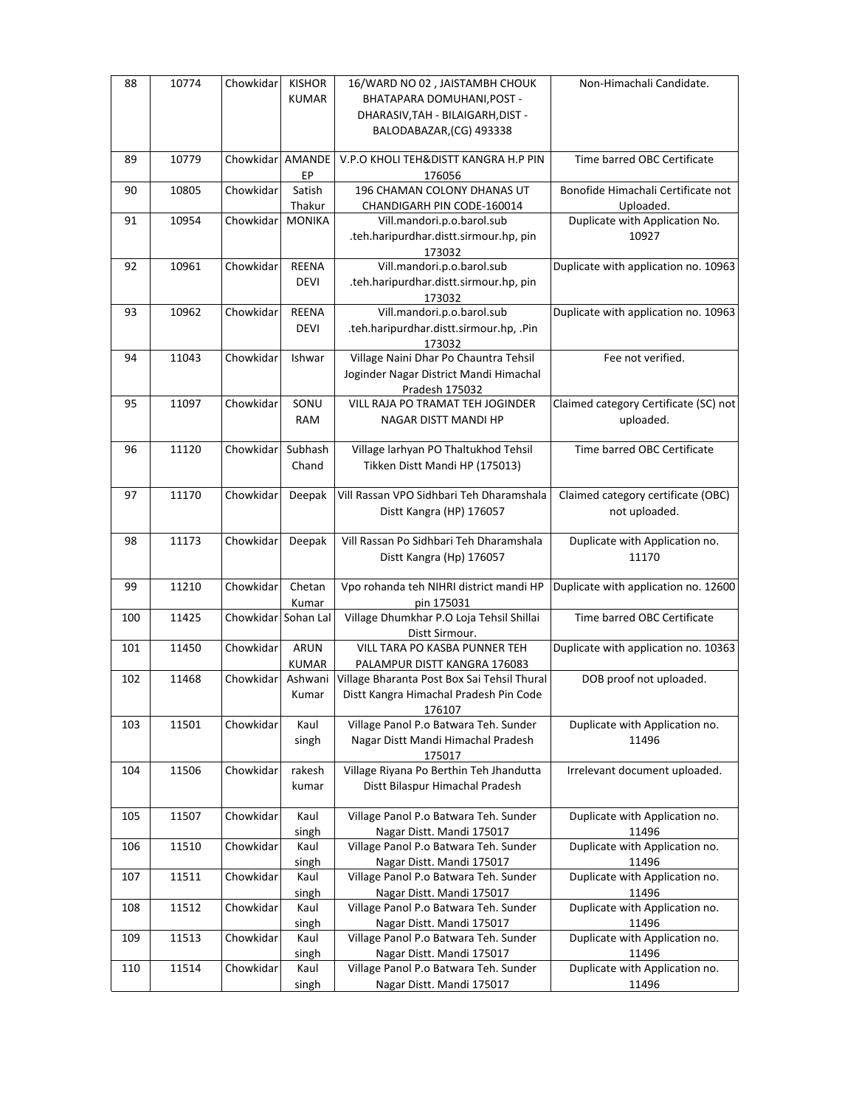| 88  | 10774 | Chowkidar           | <b>KISHOR</b>    | 16/WARD NO 02, JAISTAMBH CHOUK                                             | Non-Himachali Candidate.                        |
|-----|-------|---------------------|------------------|----------------------------------------------------------------------------|-------------------------------------------------|
|     |       |                     | <b>KUMAR</b>     | BHATAPARA DOMUHANI, POST -                                                 |                                                 |
|     |       |                     |                  | DHARASIV, TAH - BILAIGARH, DIST -                                          |                                                 |
|     |       |                     |                  | BALODABAZAR, (CG) 493338                                                   |                                                 |
| 89  | 10779 | Chowkidar           | AMANDE<br>EP     | V.P.O KHOLI TEH&DISTT KANGRA H.P PIN<br>176056                             | Time barred OBC Certificate                     |
| 90  | 10805 | Chowkidar           | Satish<br>Thakur | 196 CHAMAN COLONY DHANAS UT<br>CHANDIGARH PIN CODE-160014                  | Bonofide Himachali Certificate not<br>Uploaded. |
| 91  | 10954 | Chowkidar           | <b>MONIKA</b>    | Vill.mandori.p.o.barol.sub                                                 | Duplicate with Application No.                  |
|     |       |                     |                  | .teh.haripurdhar.distt.sirmour.hp, pin                                     | 10927                                           |
|     |       |                     |                  | 173032                                                                     |                                                 |
| 92  | 10961 | Chowkidar           | <b>REENA</b>     | Vill.mandori.p.o.barol.sub                                                 | Duplicate with application no. 10963            |
|     |       |                     | <b>DEVI</b>      | .teh.haripurdhar.distt.sirmour.hp, pin                                     |                                                 |
|     |       |                     |                  | 173032                                                                     |                                                 |
| 93  | 10962 | Chowkidar           | <b>REENA</b>     | Vill.mandori.p.o.barol.sub                                                 | Duplicate with application no. 10963            |
|     |       |                     | <b>DEVI</b>      | .teh.haripurdhar.distt.sirmour.hp, .Pin<br>173032                          |                                                 |
| 94  | 11043 | Chowkidar           | Ishwar           | Village Naini Dhar Po Chauntra Tehsil                                      | Fee not verified.                               |
|     |       |                     |                  | Joginder Nagar District Mandi Himachal                                     |                                                 |
|     |       |                     |                  | Pradesh 175032                                                             |                                                 |
| 95  | 11097 | Chowkidar           | SONU             | <b>VILL RAJA PO TRAMAT TEH JOGINDER</b>                                    | Claimed category Certificate (SC) not           |
|     |       |                     | <b>RAM</b>       | NAGAR DISTT MANDI HP                                                       | uploaded.                                       |
| 96  | 11120 | Chowkidar           | Subhash          | Village larhyan PO Thaltukhod Tehsil                                       | Time barred OBC Certificate                     |
|     |       |                     | Chand            | Tikken Distt Mandi HP (175013)                                             |                                                 |
| 97  | 11170 | Chowkidar           | Deepak           | Vill Rassan VPO Sidhbari Teh Dharamshala                                   | Claimed category certificate (OBC)              |
|     |       |                     |                  | Distt Kangra (HP) 176057                                                   | not uploaded.                                   |
|     |       |                     |                  |                                                                            |                                                 |
|     |       |                     |                  |                                                                            |                                                 |
| 98  | 11173 | Chowkidar           | Deepak           | Vill Rassan Po Sidhbari Teh Dharamshala                                    | Duplicate with Application no.                  |
|     |       |                     |                  | Distt Kangra (Hp) 176057                                                   | 11170                                           |
|     |       |                     |                  |                                                                            |                                                 |
| 99  | 11210 | Chowkidar           | Chetan           | Vpo rohanda teh NIHRI district mandi HP                                    | Duplicate with application no. 12600            |
| 100 | 11425 | Chowkidar Sohan Lal | Kumar            | pin 175031<br>Village Dhumkhar P.O Loja Tehsil Shillai                     | Time barred OBC Certificate                     |
|     |       |                     |                  | Distt Sirmour.                                                             |                                                 |
| 101 | 11450 | Chowkidar           | ARUN             | <b>VILL TARA PO KASBA PUNNER TEH</b>                                       | Duplicate with application no. 10363            |
|     |       |                     | <b>KUMAR</b>     | PALAMPUR DISTT KANGRA 176083                                               |                                                 |
| 102 | 11468 | Chowkidar           | Ashwani          | Village Bharanta Post Box Sai Tehsil Thural                                | DOB proof not uploaded.                         |
|     |       |                     | Kumar            | Distt Kangra Himachal Pradesh Pin Code                                     |                                                 |
|     |       |                     |                  | 176107                                                                     |                                                 |
| 103 | 11501 | Chowkidar           | Kaul             | Village Panol P.o Batwara Teh. Sunder                                      | Duplicate with Application no.                  |
|     |       |                     | singh            | Nagar Distt Mandi Himachal Pradesh                                         | 11496                                           |
|     |       |                     |                  | 175017                                                                     |                                                 |
| 104 | 11506 | Chowkidar           | rakesh<br>kumar  | Village Riyana Po Berthin Teh Jhandutta<br>Distt Bilaspur Himachal Pradesh | Irrelevant document uploaded.                   |
|     |       |                     |                  |                                                                            |                                                 |
| 105 | 11507 | Chowkidar           | Kaul             | Village Panol P.o Batwara Teh. Sunder                                      | Duplicate with Application no.                  |
|     |       |                     | singh            | Nagar Distt. Mandi 175017                                                  | 11496                                           |
| 106 | 11510 | Chowkidar           | Kaul             | Village Panol P.o Batwara Teh. Sunder                                      | Duplicate with Application no.                  |
|     |       |                     | singh            | Nagar Distt. Mandi 175017                                                  | 11496                                           |
| 107 | 11511 | Chowkidar           | Kaul             | Village Panol P.o Batwara Teh. Sunder                                      | Duplicate with Application no.                  |
| 108 | 11512 |                     | singh            | Nagar Distt. Mandi 175017                                                  | 11496                                           |
|     |       | Chowkidar           | Kaul<br>singh    | Village Panol P.o Batwara Teh. Sunder<br>Nagar Distt. Mandi 175017         | Duplicate with Application no.<br>11496         |
| 109 | 11513 | Chowkidar           | Kaul             | Village Panol P.o Batwara Teh. Sunder                                      | Duplicate with Application no.                  |
|     |       |                     | singh            | Nagar Distt. Mandi 175017                                                  | 11496                                           |
| 110 | 11514 | Chowkidar           | Kaul             | Village Panol P.o Batwara Teh. Sunder<br>Nagar Distt. Mandi 175017         | Duplicate with Application no.                  |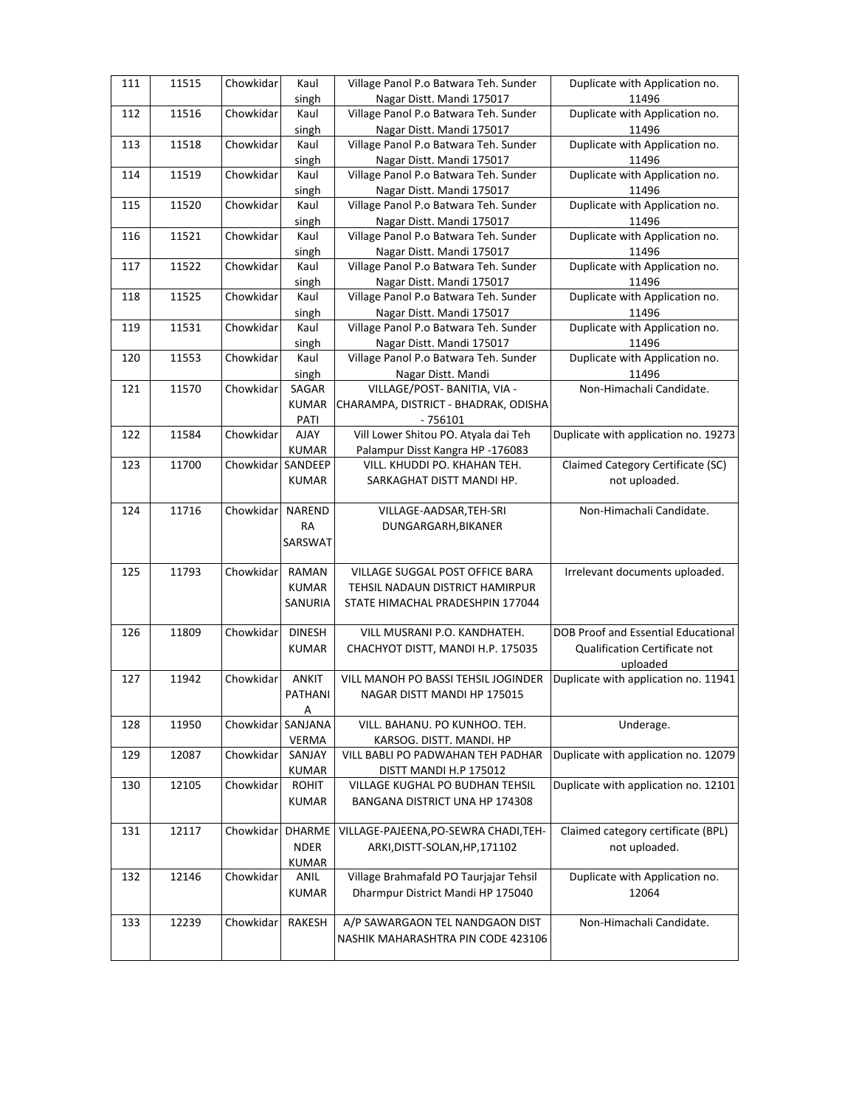| 111 | 11515 | Chowkidar | Kaul                 | Village Panol P.o Batwara Teh. Sunder                              | Duplicate with Application no.          |
|-----|-------|-----------|----------------------|--------------------------------------------------------------------|-----------------------------------------|
| 112 | 11516 | Chowkidar | singh<br>Kaul        | Nagar Distt. Mandi 175017<br>Village Panol P.o Batwara Teh. Sunder | 11496<br>Duplicate with Application no. |
|     |       |           | singh                | Nagar Distt. Mandi 175017                                          | 11496                                   |
| 113 | 11518 | Chowkidar | Kaul                 | Village Panol P.o Batwara Teh. Sunder                              | Duplicate with Application no.          |
|     |       |           | singh                | Nagar Distt. Mandi 175017                                          | 11496                                   |
| 114 | 11519 | Chowkidar | Kaul                 | Village Panol P.o Batwara Teh. Sunder                              | Duplicate with Application no.          |
|     |       |           | singh                | Nagar Distt. Mandi 175017                                          | 11496                                   |
| 115 | 11520 | Chowkidar | Kaul                 | Village Panol P.o Batwara Teh. Sunder                              | Duplicate with Application no.          |
|     |       |           | singh                | Nagar Distt. Mandi 175017                                          | 11496                                   |
| 116 | 11521 | Chowkidar | Kaul                 | Village Panol P.o Batwara Teh. Sunder                              | Duplicate with Application no.          |
|     |       |           | singh                | Nagar Distt. Mandi 175017                                          | 11496                                   |
| 117 | 11522 | Chowkidar | Kaul                 | Village Panol P.o Batwara Teh. Sunder                              | Duplicate with Application no.          |
|     |       |           | singh                | Nagar Distt. Mandi 175017                                          | 11496                                   |
| 118 | 11525 | Chowkidar | Kaul                 | Village Panol P.o Batwara Teh. Sunder                              | Duplicate with Application no.          |
|     |       |           | singh                | Nagar Distt. Mandi 175017                                          | 11496                                   |
| 119 | 11531 | Chowkidar | Kaul                 | Village Panol P.o Batwara Teh. Sunder                              | Duplicate with Application no.          |
|     |       |           | singh                | Nagar Distt. Mandi 175017                                          | 11496                                   |
| 120 | 11553 | Chowkidar | Kaul                 | Village Panol P.o Batwara Teh. Sunder                              | Duplicate with Application no.          |
|     |       |           | singh                | Nagar Distt. Mandi                                                 | 11496                                   |
| 121 | 11570 | Chowkidar | SAGAR                | VILLAGE/POST- BANITIA, VIA -                                       | Non-Himachali Candidate.                |
|     |       |           | <b>KUMAR</b>         | CHARAMPA, DISTRICT - BHADRAK, ODISHA                               |                                         |
|     |       |           | PATI                 | $-756101$                                                          |                                         |
| 122 | 11584 | Chowkidar | <b>AJAY</b>          | Vill Lower Shitou PO. Atyala dai Teh                               | Duplicate with application no. 19273    |
|     |       |           | <b>KUMAR</b>         | Palampur Disst Kangra HP -176083                                   |                                         |
| 123 | 11700 | Chowkidar | SANDEEP              | VILL. KHUDDI PO. KHAHAN TEH.                                       | Claimed Category Certificate (SC)       |
|     |       |           | <b>KUMAR</b>         | SARKAGHAT DISTT MANDI HP.                                          | not uploaded.                           |
| 124 | 11716 | Chowkidar | NAREND               | VILLAGE-AADSAR, TEH-SRI                                            | Non-Himachali Candidate.                |
|     |       |           | RA                   | DUNGARGARH, BIKANER                                                |                                         |
|     |       |           | SARSWAT              |                                                                    |                                         |
|     |       |           |                      |                                                                    |                                         |
| 125 | 11793 | Chowkidar | RAMAN                | VILLAGE SUGGAL POST OFFICE BARA                                    | Irrelevant documents uploaded.          |
|     |       |           | <b>KUMAR</b>         | TEHSIL NADAUN DISTRICT HAMIRPUR                                    |                                         |
|     |       |           | SANURIA              | STATE HIMACHAL PRADESHPIN 177044                                   |                                         |
|     |       |           |                      |                                                                    |                                         |
| 126 | 11809 | Chowkidar | <b>DINESH</b>        | VILL MUSRANI P.O. KANDHATEH.                                       | DOB Proof and Essential Educational     |
|     |       |           | <b>KUMAR</b>         | CHACHYOT DISTT, MANDI H.P. 175035                                  | Qualification Certificate not           |
|     |       |           |                      |                                                                    | uploaded                                |
| 127 | 11942 | Chowkidar | <b>ANKIT</b>         | VILL MANOH PO BASSI TEHSIL JOGINDER                                | Duplicate with application no. 11941    |
|     |       |           | PATHANI              | NAGAR DISTT MANDI HP 175015                                        |                                         |
|     |       |           | Α                    |                                                                    |                                         |
| 128 | 11950 | Chowkidar | SANJANA              | VILL. BAHANU. PO KUNHOO. TEH.                                      | Underage.                               |
|     |       |           | <b>VERMA</b>         | KARSOG. DISTT. MANDI. HP                                           |                                         |
| 129 | 12087 | Chowkidar | SANJAY               | VILL BABLI PO PADWAHAN TEH PADHAR                                  | Duplicate with application no. 12079    |
|     |       |           | KUMAR                | DISTT MANDI H.P 175012                                             |                                         |
| 130 | 12105 | Chowkidar | ROHIT                | VILLAGE KUGHAL PO BUDHAN TEHSIL                                    | Duplicate with application no. 12101    |
|     |       |           | <b>KUMAR</b>         | BANGANA DISTRICT UNA HP 174308                                     |                                         |
|     |       |           |                      |                                                                    |                                         |
| 131 | 12117 | Chowkidar | <b>DHARME</b>        | VILLAGE-PAJEENA, PO-SEWRA CHADI, TEH-                              | Claimed category certificate (BPL)      |
|     |       |           | <b>NDER</b>          | ARKI, DISTT-SOLAN, HP, 171102                                      | not uploaded.                           |
| 132 | 12146 | Chowkidar | <b>KUMAR</b><br>ANIL | Village Brahmafald PO Taurjajar Tehsil                             | Duplicate with Application no.          |
|     |       |           | <b>KUMAR</b>         | Dharmpur District Mandi HP 175040                                  | 12064                                   |
|     |       |           |                      |                                                                    |                                         |
| 133 | 12239 | Chowkidar | RAKESH               | A/P SAWARGAON TEL NANDGAON DIST                                    | Non-Himachali Candidate.                |
|     |       |           |                      | NASHIK MAHARASHTRA PIN CODE 423106                                 |                                         |
|     |       |           |                      |                                                                    |                                         |
|     |       |           |                      |                                                                    |                                         |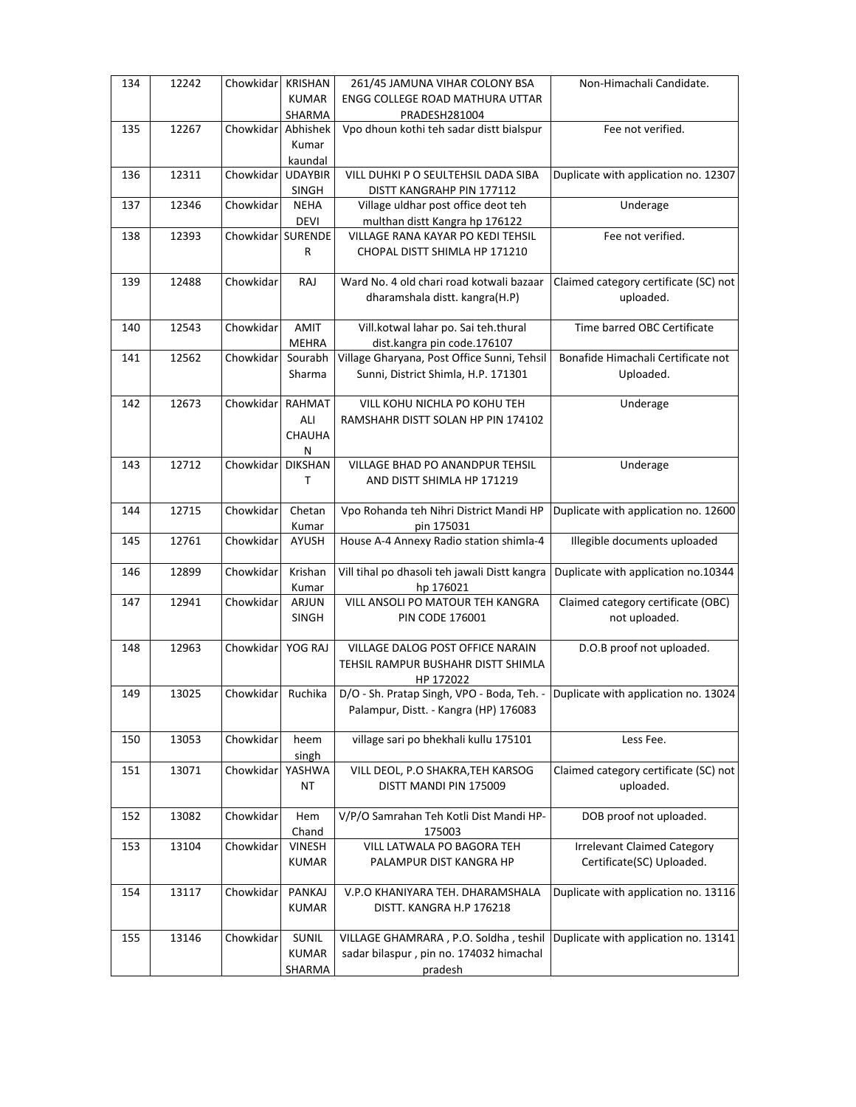| 134 | 12242 | Chowkidar         | <b>KRISHAN</b> | 261/45 JAMUNA VIHAR COLONY BSA                                                  | Non-Himachali Candidate.              |
|-----|-------|-------------------|----------------|---------------------------------------------------------------------------------|---------------------------------------|
|     |       |                   | <b>KUMAR</b>   | <b>ENGG COLLEGE ROAD MATHURA UTTAR</b>                                          |                                       |
|     |       |                   | SHARMA         | PRADESH281004                                                                   |                                       |
| 135 | 12267 | Chowkidar         | Abhishek       | Vpo dhoun kothi teh sadar distt bialspur                                        | Fee not verified.                     |
|     |       |                   |                |                                                                                 |                                       |
|     |       |                   | Kumar          |                                                                                 |                                       |
|     |       |                   | kaundal        |                                                                                 |                                       |
| 136 | 12311 | Chowkidar         | <b>UDAYBIR</b> | VILL DUHKI P O SEULTEHSIL DADA SIBA                                             | Duplicate with application no. 12307  |
|     |       |                   | SINGH          | DISTT KANGRAHP PIN 177112                                                       |                                       |
| 137 | 12346 | Chowkidar         | <b>NEHA</b>    | Village uldhar post office deot teh                                             | Underage                              |
|     |       |                   | <b>DEVI</b>    | multhan distt Kangra hp 176122                                                  |                                       |
| 138 | 12393 | Chowkidar SURENDE |                | VILLAGE RANA KAYAR PO KEDI TEHSIL                                               | Fee not verified.                     |
|     |       |                   | R              | CHOPAL DISTT SHIMLA HP 171210                                                   |                                       |
|     |       |                   |                |                                                                                 |                                       |
| 139 | 12488 | Chowkidar         | RAJ            | Ward No. 4 old chari road kotwali bazaar                                        | Claimed category certificate (SC) not |
|     |       |                   |                | dharamshala distt. kangra(H.P)                                                  | uploaded.                             |
|     |       |                   |                |                                                                                 |                                       |
| 140 | 12543 | Chowkidar         | <b>AMIT</b>    | Vill.kotwal lahar po. Sai teh.thural                                            | Time barred OBC Certificate           |
|     |       |                   | <b>MEHRA</b>   | dist.kangra pin code.176107                                                     |                                       |
| 141 | 12562 | Chowkidar         | Sourabh        | Village Gharyana, Post Office Sunni, Tehsil                                     | Bonafide Himachali Certificate not    |
|     |       |                   | Sharma         | Sunni, District Shimla, H.P. 171301                                             | Uploaded.                             |
|     |       |                   |                |                                                                                 |                                       |
| 142 | 12673 | Chowkidar         | <b>RAHMAT</b>  | VILL KOHU NICHLA PO KOHU TEH                                                    | Underage                              |
|     |       |                   | ALI            | RAMSHAHR DISTT SOLAN HP PIN 174102                                              |                                       |
|     |       |                   |                |                                                                                 |                                       |
|     |       |                   | CHAUHA         |                                                                                 |                                       |
|     |       |                   | N              |                                                                                 |                                       |
| 143 | 12712 | Chowkidar         | <b>DIKSHAN</b> | VILLAGE BHAD PO ANANDPUR TEHSIL                                                 | Underage                              |
|     |       |                   | T              | AND DISTT SHIMLA HP 171219                                                      |                                       |
|     |       |                   |                |                                                                                 |                                       |
| 144 | 12715 | Chowkidar         | Chetan         | Vpo Rohanda teh Nihri District Mandi HP                                         | Duplicate with application no. 12600  |
|     |       |                   | Kumar          | pin 175031                                                                      |                                       |
| 145 | 12761 | Chowkidar         | AYUSH          | House A-4 Annexy Radio station shimla-4                                         | <b>Illegible documents uploaded</b>   |
|     |       |                   |                |                                                                                 |                                       |
| 146 | 12899 | Chowkidar         | Krishan        | Vill tihal po dhasoli teh jawali Distt kangra                                   | Duplicate with application no.10344   |
|     |       |                   | Kumar          | hp 176021                                                                       |                                       |
| 147 | 12941 | Chowkidar         | ARJUN          | VILL ANSOLI PO MATOUR TEH KANGRA                                                | Claimed category certificate (OBC)    |
|     |       |                   | <b>SINGH</b>   | <b>PIN CODE 176001</b>                                                          | not uploaded.                         |
|     |       |                   |                |                                                                                 |                                       |
| 148 | 12963 | Chowkidar         | YOG RAJ        | VILLAGE DALOG POST OFFICE NARAIN                                                | D.O.B proof not uploaded.             |
|     |       |                   |                | TEHSIL RAMPUR BUSHAHR DISTT SHIMLA                                              |                                       |
|     |       |                   |                | HP 172022                                                                       |                                       |
| 149 | 13025 | Chowkidar         | Ruchika        | D/O - Sh. Pratap Singh, VPO - Boda, Teh. - Duplicate with application no. 13024 |                                       |
|     |       |                   |                |                                                                                 |                                       |
|     |       |                   |                | Palampur, Distt. - Kangra (HP) 176083                                           |                                       |
|     |       |                   |                |                                                                                 |                                       |
| 150 | 13053 | Chowkidar         | heem           | village sari po bhekhali kullu 175101                                           | Less Fee.                             |
|     |       |                   | singh          |                                                                                 |                                       |
| 151 | 13071 | Chowkidar         | YASHWA         | VILL DEOL, P.O SHAKRA, TEH KARSOG                                               | Claimed category certificate (SC) not |
|     |       |                   | <b>NT</b>      | DISTT MANDI PIN 175009                                                          | uploaded.                             |
|     |       |                   |                |                                                                                 |                                       |
| 152 | 13082 | Chowkidar         | Hem            | V/P/O Samrahan Teh Kotli Dist Mandi HP-                                         | DOB proof not uploaded.               |
|     |       |                   | Chand          | 175003                                                                          |                                       |
| 153 | 13104 | Chowkidar         | <b>VINESH</b>  | VILL LATWALA PO BAGORA TEH                                                      | <b>Irrelevant Claimed Category</b>    |
|     |       |                   | <b>KUMAR</b>   | PALAMPUR DIST KANGRA HP                                                         | Certificate(SC) Uploaded.             |
|     |       |                   |                |                                                                                 |                                       |
| 154 | 13117 | Chowkidar         | PANKAJ         | V.P.O KHANIYARA TEH. DHARAMSHALA                                                | Duplicate with application no. 13116  |
|     |       |                   | <b>KUMAR</b>   | DISTT. KANGRA H.P 176218                                                        |                                       |
|     |       |                   |                |                                                                                 |                                       |
| 155 | 13146 | Chowkidar         | SUNIL          | VILLAGE GHAMRARA, P.O. Soldha, teshil                                           | Duplicate with application no. 13141  |
|     |       |                   | <b>KUMAR</b>   | sadar bilaspur, pin no. 174032 himachal                                         |                                       |
|     |       |                   |                |                                                                                 |                                       |
|     |       |                   | <b>SHARMA</b>  | pradesh                                                                         |                                       |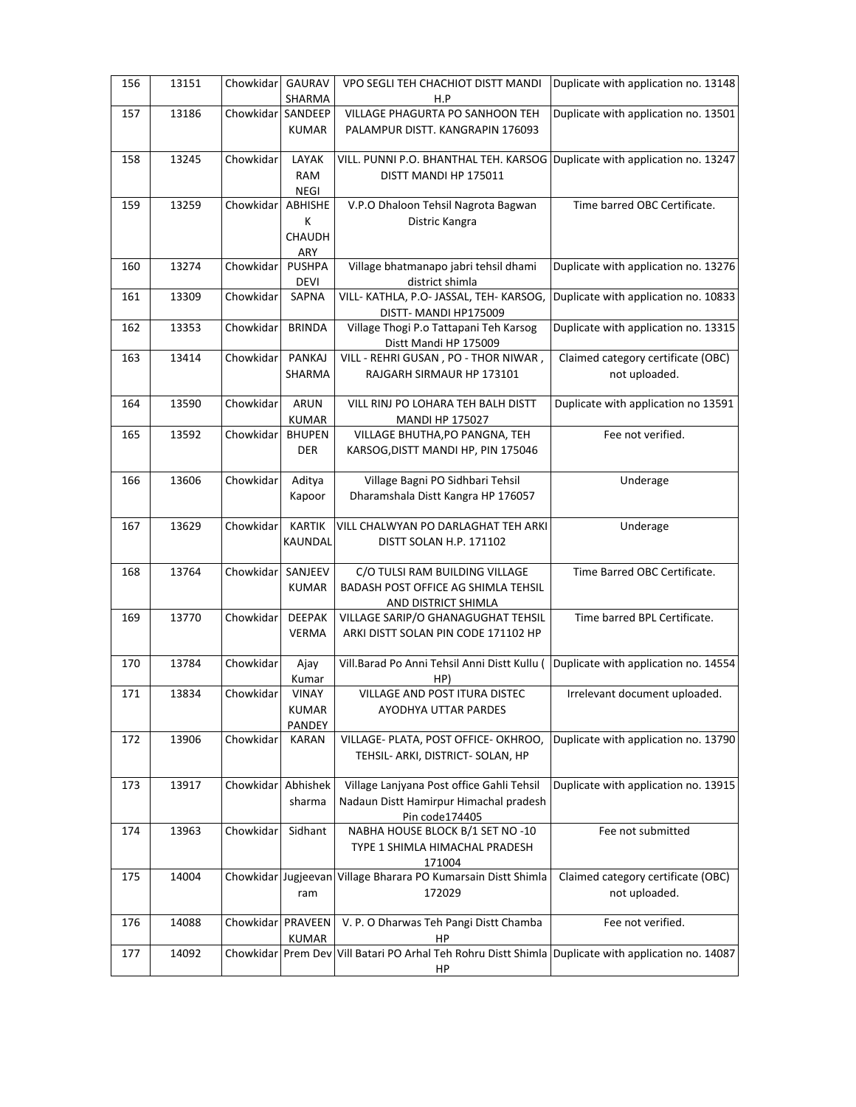| 156 | 13151 | Chowkidar           | <b>GAURAV</b> | VPO SEGLI TEH CHACHIOT DISTT MANDI                                               | Duplicate with application no. 13148 |
|-----|-------|---------------------|---------------|----------------------------------------------------------------------------------|--------------------------------------|
|     |       |                     | SHARMA        | H.P                                                                              |                                      |
| 157 | 13186 | Chowkidar SANDEEP   |               | VILLAGE PHAGURTA PO SANHOON TEH                                                  | Duplicate with application no. 13501 |
|     |       |                     | <b>KUMAR</b>  | PALAMPUR DISTT. KANGRAPIN 176093                                                 |                                      |
| 158 | 13245 | Chowkidar           | LAYAK         | VILL. PUNNI P.O. BHANTHAL TEH. KARSOG                                            | Duplicate with application no. 13247 |
|     |       |                     |               |                                                                                  |                                      |
|     |       |                     | <b>RAM</b>    | DISTT MANDI HP 175011                                                            |                                      |
|     |       |                     | <b>NEGI</b>   |                                                                                  |                                      |
| 159 | 13259 | Chowkidar           | ABHISHE       | V.P.O Dhaloon Tehsil Nagrota Bagwan                                              | Time barred OBC Certificate.         |
|     |       |                     | K             | Distric Kangra                                                                   |                                      |
|     |       |                     | CHAUDH        |                                                                                  |                                      |
|     |       |                     | ARY           |                                                                                  |                                      |
| 160 | 13274 | Chowkidar           | <b>PUSHPA</b> | Village bhatmanapo jabri tehsil dhami                                            | Duplicate with application no. 13276 |
|     |       |                     | DEVI          | district shimla                                                                  |                                      |
| 161 | 13309 | Chowkidar           | SAPNA         | VILL- KATHLA, P.O- JASSAL, TEH- KARSOG,                                          | Duplicate with application no. 10833 |
|     |       |                     |               | DISTT- MANDI HP175009                                                            |                                      |
| 162 | 13353 | Chowkidar           | <b>BRINDA</b> | Village Thogi P.o Tattapani Teh Karsog                                           | Duplicate with application no. 13315 |
|     |       |                     |               | Distt Mandi HP 175009                                                            |                                      |
| 163 | 13414 | Chowkidar           | PANKAJ        | VILL - REHRI GUSAN, PO - THOR NIWAR,                                             | Claimed category certificate (OBC)   |
|     |       |                     | <b>SHARMA</b> | RAJGARH SIRMAUR HP 173101                                                        | not uploaded.                        |
|     |       |                     |               |                                                                                  |                                      |
| 164 | 13590 | Chowkidar           | <b>ARUN</b>   | VILL RINJ PO LOHARA TEH BALH DISTT                                               | Duplicate with application no 13591  |
|     |       |                     | <b>KUMAR</b>  | <b>MANDI HP 175027</b>                                                           |                                      |
| 165 | 13592 | Chowkidar           | <b>BHUPEN</b> | VILLAGE BHUTHA, PO PANGNA, TEH                                                   | Fee not verified.                    |
|     |       |                     | <b>DER</b>    | KARSOG, DISTT MANDI HP, PIN 175046                                               |                                      |
|     |       |                     |               |                                                                                  |                                      |
| 166 | 13606 | Chowkidar           | Aditya        | Village Bagni PO Sidhbari Tehsil                                                 | Underage                             |
|     |       |                     | Kapoor        | Dharamshala Distt Kangra HP 176057                                               |                                      |
|     |       |                     |               |                                                                                  |                                      |
| 167 | 13629 | Chowkidar           | <b>KARTIK</b> | VILL CHALWYAN PO DARLAGHAT TEH ARKI                                              | Underage                             |
|     |       |                     | KAUNDAL       | DISTT SOLAN H.P. 171102                                                          |                                      |
|     |       |                     |               |                                                                                  |                                      |
| 168 | 13764 | Chowkidar           | SANJEEV       | C/O TULSI RAM BUILDING VILLAGE                                                   | Time Barred OBC Certificate.         |
|     |       |                     | <b>KUMAR</b>  | <b>BADASH POST OFFICE AG SHIMLA TEHSIL</b>                                       |                                      |
|     |       |                     |               | AND DISTRICT SHIMLA                                                              |                                      |
| 169 | 13770 | Chowkidar           | <b>DEEPAK</b> | VILLAGE SARIP/O GHANAGUGHAT TEHSIL                                               | Time barred BPL Certificate.         |
|     |       |                     | <b>VERMA</b>  | ARKI DISTT SOLAN PIN CODE 171102 HP                                              |                                      |
|     |       |                     |               |                                                                                  |                                      |
| 170 | 13784 | Chowkidar           | Ajay          | Vill.Barad Po Anni Tehsil Anni Distt Kullu (                                     | Duplicate with application no. 14554 |
|     |       |                     | Kumar         | HP)                                                                              |                                      |
| 171 | 13834 | Chowkidar           | VINAY         | VILLAGE AND POST ITURA DISTEC                                                    | Irrelevant document uploaded.        |
|     |       |                     |               | AYODHYA UTTAR PARDES                                                             |                                      |
|     |       |                     | <b>KUMAR</b>  |                                                                                  |                                      |
|     |       | Chowkidar           | PANDEY        |                                                                                  | Duplicate with application no. 13790 |
| 172 | 13906 |                     | KARAN         | VILLAGE- PLATA, POST OFFICE- OKHROO,                                             |                                      |
|     |       |                     |               | TEHSIL- ARKI, DISTRICT- SOLAN, HP                                                |                                      |
|     |       | Chowkidar           |               |                                                                                  |                                      |
| 173 | 13917 |                     | Abhishek      | Village Lanjyana Post office Gahli Tehsil                                        | Duplicate with application no. 13915 |
|     |       |                     | sharma        | Nadaun Distt Hamirpur Himachal pradesh                                           |                                      |
|     |       |                     |               | Pin code174405                                                                   |                                      |
| 174 | 13963 | Chowkidar           | Sidhant       | NABHA HOUSE BLOCK B/1 SET NO -10                                                 | Fee not submitted                    |
|     |       |                     |               | TYPE 1 SHIMLA HIMACHAL PRADESH                                                   |                                      |
|     |       |                     |               | 171004                                                                           |                                      |
| 175 | 14004 | Chowkidar Jugjeevan |               | Village Bharara PO Kumarsain Distt Shimla                                        | Claimed category certificate (OBC)   |
|     |       |                     | ram           | 172029                                                                           | not uploaded.                        |
|     |       |                     |               |                                                                                  |                                      |
| 176 | 14088 | Chowkidar           | PRAVEEN       | V. P. O Dharwas Teh Pangi Distt Chamba                                           | Fee not verified.                    |
|     |       |                     | <b>KUMAR</b>  | HP                                                                               |                                      |
| 177 | 14092 | Chowkidar           | Prem Dev      | Vill Batari PO Arhal Teh Rohru Distt Shimla Duplicate with application no. 14087 |                                      |
|     |       |                     |               | HP                                                                               |                                      |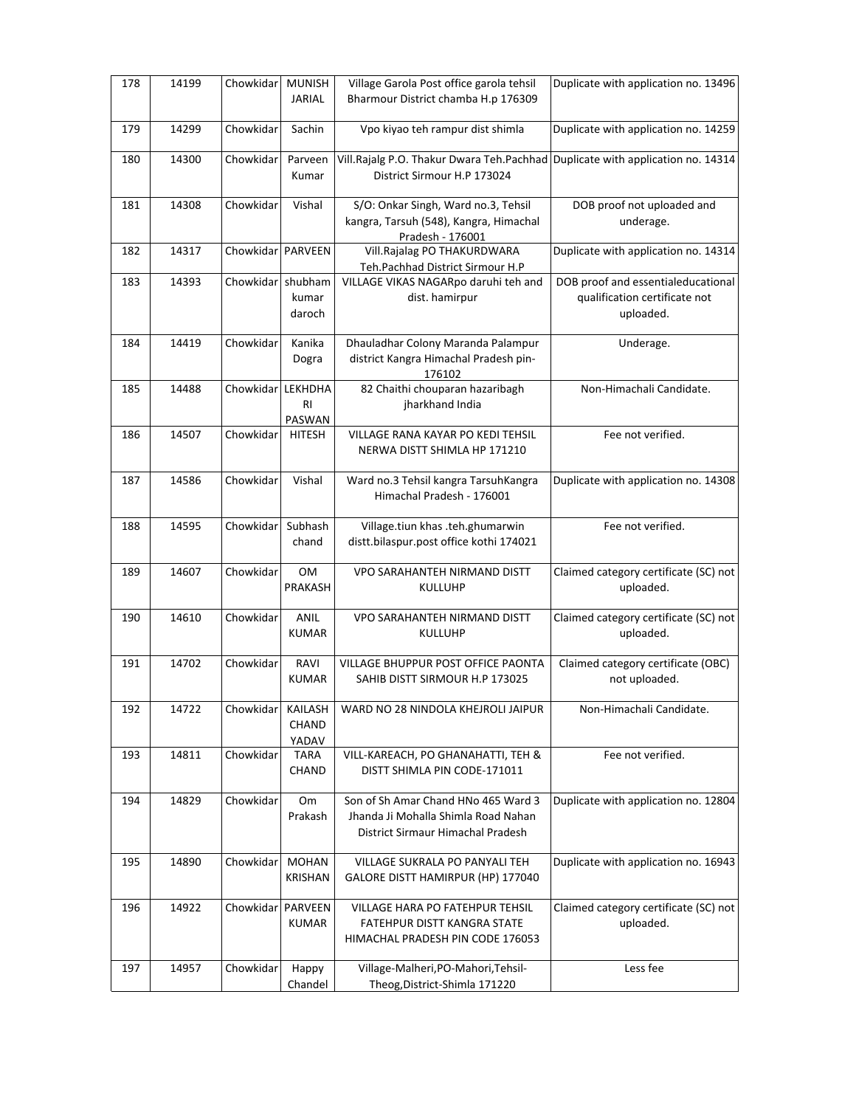| 178 | 14199 | Chowkidar         | <b>MUNISH</b><br><b>JARIAL</b> | Village Garola Post office garola tehsil<br>Bharmour District chamba H.p 176309                                 | Duplicate with application no. 13496                                             |
|-----|-------|-------------------|--------------------------------|-----------------------------------------------------------------------------------------------------------------|----------------------------------------------------------------------------------|
| 179 | 14299 | Chowkidar         | Sachin                         | Vpo kiyao teh rampur dist shimla                                                                                | Duplicate with application no. 14259                                             |
| 180 | 14300 | Chowkidar         | Parveen<br>Kumar               | Vill.Rajalg P.O. Thakur Dwara Teh.Pachhad<br>District Sirmour H.P 173024                                        | Duplicate with application no. 14314                                             |
| 181 | 14308 | Chowkidar         | Vishal                         | S/O: Onkar Singh, Ward no.3, Tehsil<br>kangra, Tarsuh (548), Kangra, Himachal<br>Pradesh - 176001               | DOB proof not uploaded and<br>underage.                                          |
| 182 | 14317 | Chowkidar         | PARVEEN                        | Vill.Rajalag PO THAKURDWARA<br>Teh.Pachhad District Sirmour H.P                                                 | Duplicate with application no. 14314                                             |
| 183 | 14393 | Chowkidar shubham | kumar<br>daroch                | VILLAGE VIKAS NAGARpo daruhi teh and<br>dist. hamirpur                                                          | DOB proof and essentialeducational<br>qualification certificate not<br>uploaded. |
| 184 | 14419 | Chowkidar         | Kanika<br>Dogra                | Dhauladhar Colony Maranda Palampur<br>district Kangra Himachal Pradesh pin-<br>176102                           | Underage.                                                                        |
| 185 | 14488 | Chowkidar         | LEKHDHA<br><b>RI</b><br>PASWAN | 82 Chaithi chouparan hazaribagh<br>jharkhand India                                                              | Non-Himachali Candidate.                                                         |
| 186 | 14507 | Chowkidar         | <b>HITESH</b>                  | VILLAGE RANA KAYAR PO KEDI TEHSIL<br>NERWA DISTT SHIMLA HP 171210                                               | Fee not verified.                                                                |
| 187 | 14586 | Chowkidar         | Vishal                         | Ward no.3 Tehsil kangra TarsuhKangra<br>Himachal Pradesh - 176001                                               | Duplicate with application no. 14308                                             |
| 188 | 14595 | Chowkidar         | Subhash<br>chand               | Village.tiun khas .teh.ghumarwin<br>distt.bilaspur.post office kothi 174021                                     | Fee not verified.                                                                |
| 189 | 14607 | Chowkidar         | <b>OM</b><br><b>PRAKASH</b>    | VPO SARAHANTEH NIRMAND DISTT<br>KULLUHP                                                                         | Claimed category certificate (SC) not<br>uploaded.                               |
| 190 | 14610 | Chowkidar         | ANIL<br><b>KUMAR</b>           | VPO SARAHANTEH NIRMAND DISTT<br>KULLUHP                                                                         | Claimed category certificate (SC) not<br>uploaded.                               |
| 191 | 14702 | Chowkidar         | RAVI<br><b>KUMAR</b>           | VILLAGE BHUPPUR POST OFFICE PAONTA<br>SAHIB DISTT SIRMOUR H.P 173025                                            | Claimed category certificate (OBC)<br>not uploaded.                              |
| 192 | 14722 | Chowkidar         | KAILASH<br>CHAND<br>YADAV      | WARD NO 28 NINDOLA KHEJROLI JAIPUR                                                                              | Non-Himachali Candidate.                                                         |
| 193 | 14811 | Chowkidar         | <b>TARA</b><br>CHAND           | VILL-KAREACH, PO GHANAHATTI, TEH &<br>DISTT SHIMLA PIN CODE-171011                                              | Fee not verified.                                                                |
| 194 | 14829 | Chowkidar         | Om<br>Prakash                  | Son of Sh Amar Chand HNo 465 Ward 3<br>Jhanda Ji Mohalla Shimla Road Nahan<br>District Sirmaur Himachal Pradesh | Duplicate with application no. 12804                                             |
| 195 | 14890 | Chowkidar         | <b>MOHAN</b><br><b>KRISHAN</b> | VILLAGE SUKRALA PO PANYALI TEH<br>GALORE DISTT HAMIRPUR (HP) 177040                                             | Duplicate with application no. 16943                                             |
| 196 | 14922 | Chowkidar         | PARVEEN<br><b>KUMAR</b>        | VILLAGE HARA PO FATEHPUR TEHSIL<br>FATEHPUR DISTT KANGRA STATE<br>HIMACHAL PRADESH PIN CODE 176053              | Claimed category certificate (SC) not<br>uploaded.                               |
| 197 | 14957 | Chowkidar         | Happy<br>Chandel               | Village-Malheri, PO-Mahori, Tehsil-<br>Theog, District-Shimla 171220                                            | Less fee                                                                         |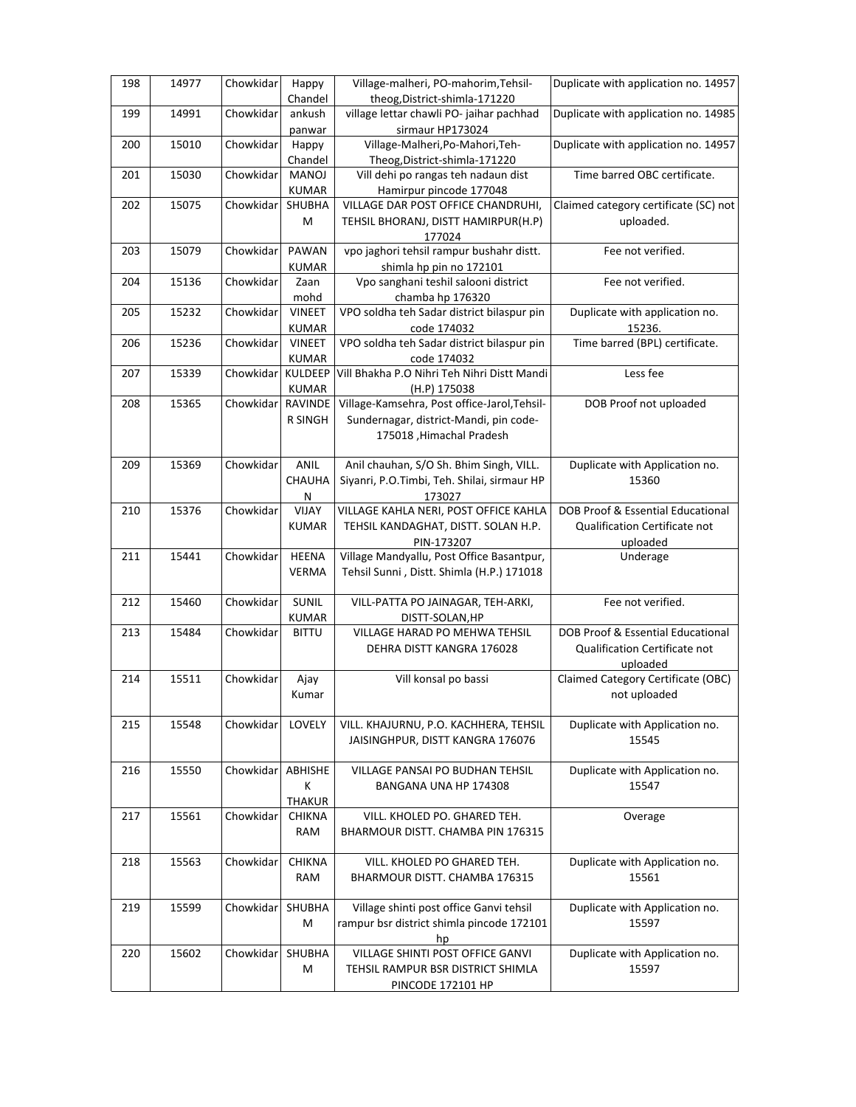| 198 | 14977 | Chowkidar | Happy                         | Village-malheri, PO-mahorim, Tehsil-                           | Duplicate with application no. 14957     |
|-----|-------|-----------|-------------------------------|----------------------------------------------------------------|------------------------------------------|
|     |       |           | Chandel                       | theog, District-shimla-171220                                  |                                          |
| 199 | 14991 | Chowkidar | ankush                        | village lettar chawli PO- jaihar pachhad                       | Duplicate with application no. 14985     |
|     |       |           | panwar                        | sirmaur HP173024                                               |                                          |
| 200 | 15010 | Chowkidar | Happy                         | Village-Malheri, Po-Mahori, Teh-                               | Duplicate with application no. 14957     |
|     |       |           | Chandel                       | Theog, District-shimla-171220                                  |                                          |
| 201 | 15030 | Chowkidar | <b>MANOJ</b><br><b>KUMAR</b>  | Vill dehi po rangas teh nadaun dist<br>Hamirpur pincode 177048 | Time barred OBC certificate.             |
| 202 | 15075 | Chowkidar | SHUBHA                        | VILLAGE DAR POST OFFICE CHANDRUHI,                             | Claimed category certificate (SC) not    |
|     |       |           | M                             | TEHSIL BHORANJ, DISTT HAMIRPUR(H.P)                            | uploaded.                                |
|     |       |           |                               | 177024                                                         |                                          |
|     | 15079 | Chowkidar | PAWAN                         | vpo jaghori tehsil rampur bushahr distt.                       | Fee not verified.                        |
| 203 |       |           | <b>KUMAR</b>                  | shimla hp pin no 172101                                        |                                          |
| 204 | 15136 | Chowkidar | Zaan                          | Vpo sanghani teshil salooni district                           | Fee not verified.                        |
|     |       |           |                               |                                                                |                                          |
|     |       |           | mohd                          | chamba hp 176320<br>VPO soldha teh Sadar district bilaspur pin |                                          |
| 205 | 15232 | Chowkidar | <b>VINEET</b><br><b>KUMAR</b> | code 174032                                                    | Duplicate with application no.<br>15236. |
| 206 | 15236 | Chowkidar | <b>VINEET</b>                 | VPO soldha teh Sadar district bilaspur pin                     | Time barred (BPL) certificate.           |
|     |       |           | <b>KUMAR</b>                  | code 174032                                                    |                                          |
| 207 | 15339 | Chowkidar | KULDEEP                       | Vill Bhakha P.O Nihri Teh Nihri Distt Mandi                    | Less fee                                 |
|     |       |           |                               |                                                                |                                          |
|     | 15365 | Chowkidar | <b>KUMAR</b><br>RAVINDE       | (H.P) 175038<br>Village-Kamsehra, Post office-Jarol, Tehsil-   | DOB Proof not uploaded                   |
| 208 |       |           |                               |                                                                |                                          |
|     |       |           | <b>R SINGH</b>                | Sundernagar, district-Mandi, pin code-                         |                                          |
|     |       |           |                               | 175018, Himachal Pradesh                                       |                                          |
|     |       |           |                               |                                                                |                                          |
| 209 | 15369 | Chowkidar | ANIL                          | Anil chauhan, S/O Sh. Bhim Singh, VILL.                        | Duplicate with Application no.           |
|     |       |           | CHAUHA                        | Siyanri, P.O.Timbi, Teh. Shilai, sirmaur HP                    | 15360                                    |
|     |       |           | ${\sf N}$                     | 173027                                                         |                                          |
| 210 | 15376 | Chowkidar | VIJAY                         | VILLAGE KAHLA NERI, POST OFFICE KAHLA                          | DOB Proof & Essential Educational        |
|     |       |           | <b>KUMAR</b>                  | TEHSIL KANDAGHAT, DISTT. SOLAN H.P.                            | Qualification Certificate not            |
|     |       |           |                               | PIN-173207                                                     | uploaded                                 |
| 211 | 15441 | Chowkidar | <b>HEENA</b>                  | Village Mandyallu, Post Office Basantpur,                      | Underage                                 |
|     |       |           | <b>VERMA</b>                  | Tehsil Sunni, Distt. Shimla (H.P.) 171018                      |                                          |
|     |       |           |                               |                                                                |                                          |
| 212 | 15460 | Chowkidar | SUNIL                         | VILL-PATTA PO JAINAGAR, TEH-ARKI,                              | Fee not verified.                        |
|     |       |           | <b>KUMAR</b>                  | DISTT-SOLAN, HP                                                |                                          |
| 213 | 15484 | Chowkidar | <b>BITTU</b>                  | VILLAGE HARAD PO MEHWA TEHSIL                                  | DOB Proof & Essential Educational        |
|     |       |           |                               | DEHRA DISTT KANGRA 176028                                      | Qualification Certificate not            |
|     |       |           |                               |                                                                | uploaded                                 |
| 214 | 15511 | Chowkidar | Ajay                          | Vill konsal po bassi                                           | Claimed Category Certificate (OBC)       |
|     |       |           | Kumar                         |                                                                | not uploaded                             |
|     |       |           |                               |                                                                |                                          |
| 215 | 15548 | Chowkidar | LOVELY                        | VILL. KHAJURNU, P.O. KACHHERA, TEHSIL                          | Duplicate with Application no.           |
|     |       |           |                               | JAISINGHPUR, DISTT KANGRA 176076                               | 15545                                    |
|     |       |           |                               |                                                                |                                          |
| 216 | 15550 | Chowkidar | ABHISHE                       | VILLAGE PANSAI PO BUDHAN TEHSIL                                | Duplicate with Application no.           |
|     |       |           | К                             | BANGANA UNA HP 174308                                          | 15547                                    |
|     |       |           | <b>THAKUR</b>                 |                                                                |                                          |
| 217 | 15561 | Chowkidar | <b>CHIKNA</b>                 | VILL. KHOLED PO. GHARED TEH.                                   | Overage                                  |
|     |       |           | RAM                           | BHARMOUR DISTT. CHAMBA PIN 176315                              |                                          |
|     |       |           |                               |                                                                |                                          |
| 218 | 15563 | Chowkidar | <b>CHIKNA</b>                 | VILL. KHOLED PO GHARED TEH.                                    | Duplicate with Application no.           |
|     |       |           | RAM                           | BHARMOUR DISTT. CHAMBA 176315                                  | 15561                                    |
| 219 | 15599 | Chowkidar | SHUBHA                        | Village shinti post office Ganvi tehsil                        | Duplicate with Application no.           |
|     |       |           | M                             | rampur bsr district shimla pincode 172101                      | 15597                                    |
|     |       |           |                               |                                                                |                                          |
| 220 | 15602 | Chowkidar | SHUBHA                        | hp<br>VILLAGE SHINTI POST OFFICE GANVI                         | Duplicate with Application no.           |
|     |       |           |                               |                                                                |                                          |
|     |       |           | M                             | TEHSIL RAMPUR BSR DISTRICT SHIMLA                              | 15597                                    |
|     |       |           |                               | <b>PINCODE 172101 HP</b>                                       |                                          |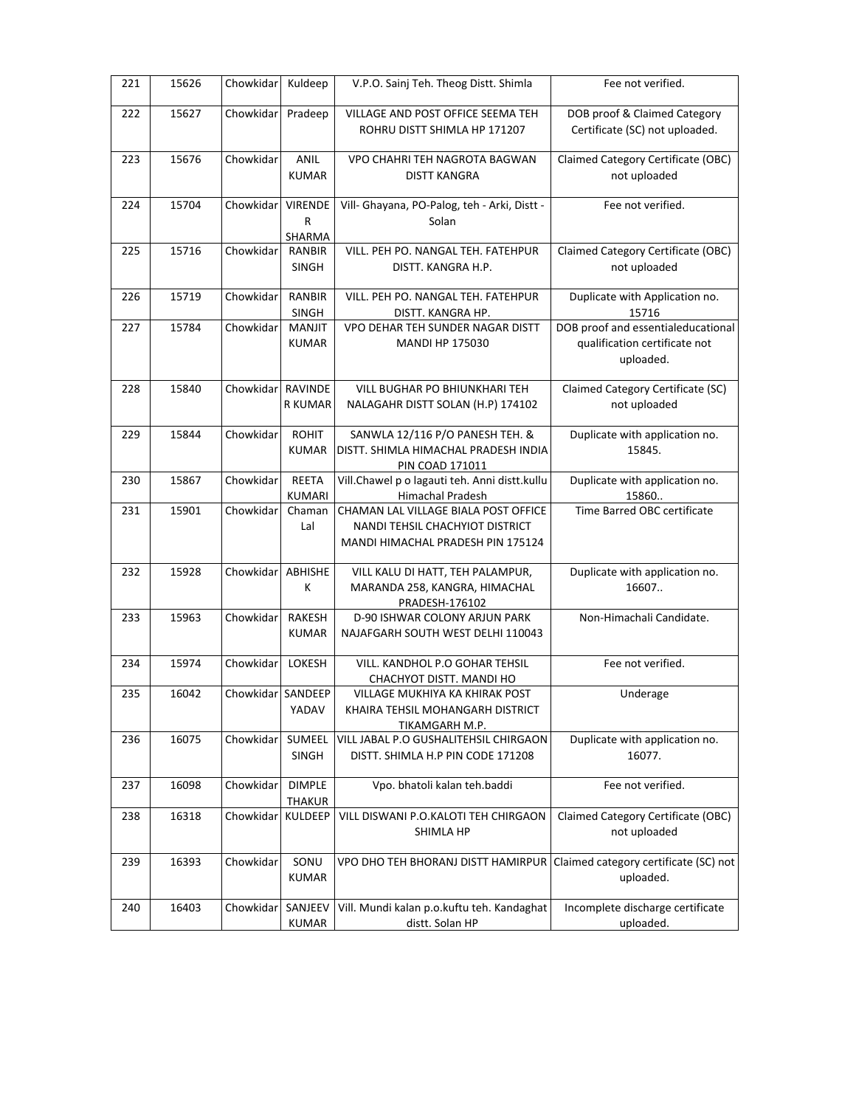| 221 | 15626 | Chowkidar         | Kuldeep                       | V.P.O. Sainj Teh. Theog Distt. Shimla                                                                        | Fee not verified.                                                                |
|-----|-------|-------------------|-------------------------------|--------------------------------------------------------------------------------------------------------------|----------------------------------------------------------------------------------|
| 222 | 15627 | Chowkidar         | Pradeep                       | VILLAGE AND POST OFFICE SEEMA TEH<br>ROHRU DISTT SHIMLA HP 171207                                            | DOB proof & Claimed Category<br>Certificate (SC) not uploaded.                   |
| 223 | 15676 | Chowkidar         | <b>ANIL</b><br><b>KUMAR</b>   | VPO CHAHRI TEH NAGROTA BAGWAN<br><b>DISTT KANGRA</b>                                                         | Claimed Category Certificate (OBC)<br>not uploaded                               |
| 224 | 15704 | Chowkidar         | <b>VIRENDE</b><br>R<br>SHARMA | Vill- Ghayana, PO-Palog, teh - Arki, Distt -<br>Solan                                                        | Fee not verified.                                                                |
| 225 | 15716 | Chowkidar         | RANBIR<br>SINGH               | VILL. PEH PO. NANGAL TEH. FATEHPUR<br>DISTT. KANGRA H.P.                                                     | Claimed Category Certificate (OBC)<br>not uploaded                               |
| 226 | 15719 | Chowkidar         | <b>RANBIR</b><br>SINGH        | VILL. PEH PO. NANGAL TEH. FATEHPUR<br>DISTT. KANGRA HP.                                                      | Duplicate with Application no.<br>15716                                          |
| 227 | 15784 | Chowkidar         | MANJIT<br><b>KUMAR</b>        | VPO DEHAR TEH SUNDER NAGAR DISTT<br>MANDI HP 175030                                                          | DOB proof and essentialeducational<br>qualification certificate not<br>uploaded. |
| 228 | 15840 | Chowkidar         | RAVINDE<br>R KUMAR            | VILL BUGHAR PO BHIUNKHARI TEH<br>NALAGAHR DISTT SOLAN (H.P) 174102                                           | Claimed Category Certificate (SC)<br>not uploaded                                |
| 229 | 15844 | Chowkidar         | <b>ROHIT</b><br><b>KUMAR</b>  | SANWLA 12/116 P/O PANESH TEH. &<br>DISTT. SHIMLA HIMACHAL PRADESH INDIA<br><b>PIN COAD 171011</b>            | Duplicate with application no.<br>15845.                                         |
| 230 | 15867 | Chowkidar         | REETA<br><b>KUMARI</b>        | Vill.Chawel p o lagauti teh. Anni distt.kullu<br>Himachal Pradesh                                            | Duplicate with application no.<br>15860                                          |
| 231 | 15901 | Chowkidar         | Chaman<br>Lal                 | CHAMAN LAL VILLAGE BIALA POST OFFICE<br>NANDI TEHSIL CHACHYIOT DISTRICT<br>MANDI HIMACHAL PRADESH PIN 175124 | Time Barred OBC certificate                                                      |
| 232 | 15928 | Chowkidar         | ABHISHE<br>K                  | VILL KALU DI HATT, TEH PALAMPUR,<br>MARANDA 258, KANGRA, HIMACHAL<br>PRADESH-176102                          | Duplicate with application no.<br>16607.                                         |
| 233 | 15963 | Chowkidar         | RAKESH<br><b>KUMAR</b>        | D-90 ISHWAR COLONY ARJUN PARK<br>NAJAFGARH SOUTH WEST DELHI 110043                                           | Non-Himachali Candidate.                                                         |
| 234 | 15974 | Chowkidar         | LOKESH                        | VILL. KANDHOL P.O GOHAR TEHSIL<br>CHACHYOT DISTT. MANDI HO                                                   | Fee not verified.                                                                |
| 235 | 16042 | Chowkidar SANDEEP | YADAV                         | VILLAGE MUKHIYA KA KHIRAK POST<br>KHAIRA TEHSIL MOHANGARH DISTRICT<br>TIKAMGARH M.P.                         | Underage                                                                         |
| 236 | 16075 | Chowkidar         | SUMEEL<br><b>SINGH</b>        | VILL JABAL P.O GUSHALITEHSIL CHIRGAON<br>DISTT. SHIMLA H.P PIN CODE 171208                                   | Duplicate with application no.<br>16077.                                         |
| 237 | 16098 | Chowkidar         | <b>DIMPLE</b><br>THAKUR       | Vpo. bhatoli kalan teh.baddi                                                                                 | Fee not verified.                                                                |
| 238 | 16318 | Chowkidar         | KULDEEP                       | VILL DISWANI P.O.KALOTI TEH CHIRGAON<br>SHIMLA HP                                                            | Claimed Category Certificate (OBC)<br>not uploaded                               |
| 239 | 16393 | Chowkidar         | SONU<br><b>KUMAR</b>          | VPO DHO TEH BHORANJ DISTT HAMIRPUR                                                                           | Claimed category certificate (SC) not<br>uploaded.                               |
| 240 | 16403 | Chowkidar         | SANJEEV<br>KUMAR              | Vill. Mundi kalan p.o.kuftu teh. Kandaghat<br>distt. Solan HP                                                | Incomplete discharge certificate<br>uploaded.                                    |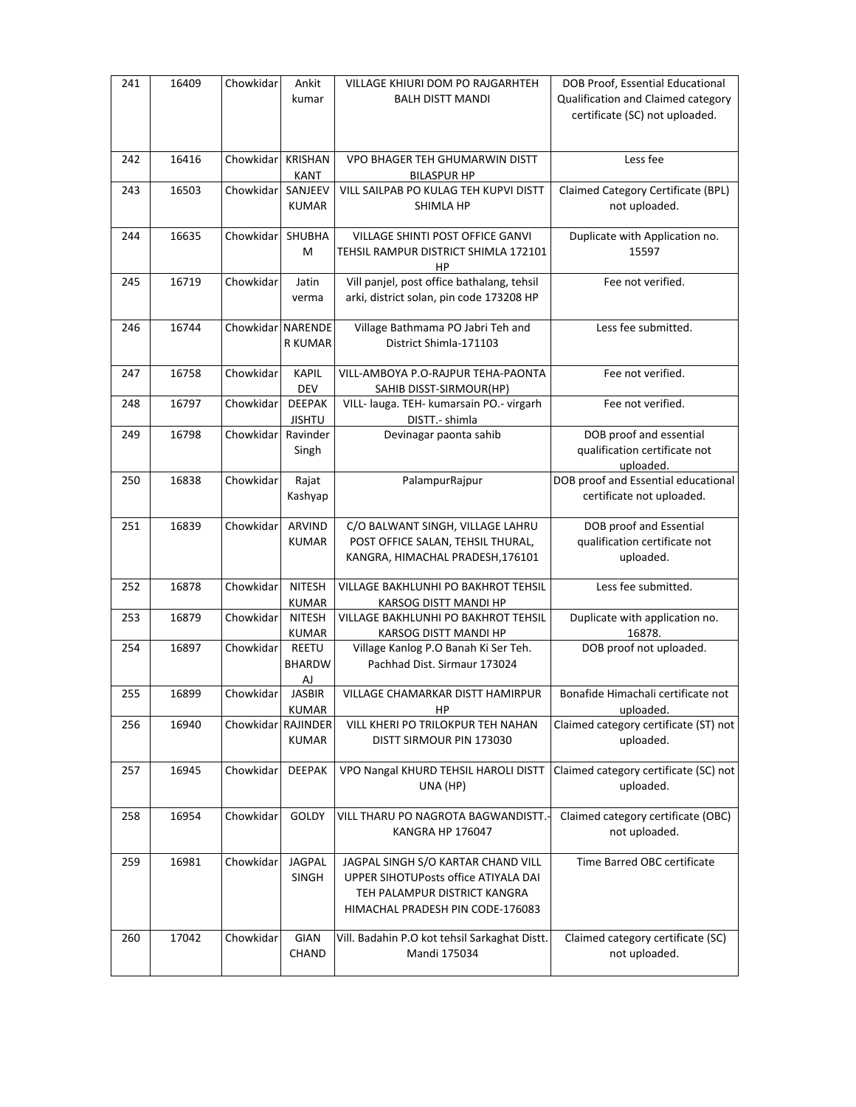| 241 | 16409 | Chowkidar         | Ankit<br>kumar                      | VILLAGE KHIURI DOM PO RAJGARHTEH<br><b>BALH DISTT MANDI</b>                                                                                    | DOB Proof, Essential Educational<br>Qualification and Claimed category<br>certificate (SC) not uploaded. |
|-----|-------|-------------------|-------------------------------------|------------------------------------------------------------------------------------------------------------------------------------------------|----------------------------------------------------------------------------------------------------------|
| 242 | 16416 | Chowkidar         | <b>KRISHAN</b><br><b>KANT</b>       | <b>VPO BHAGER TEH GHUMARWIN DISTT</b><br><b>BILASPUR HP</b>                                                                                    | Less fee                                                                                                 |
| 243 | 16503 | Chowkidar         | SANJEEV<br><b>KUMAR</b>             | VILL SAILPAB PO KULAG TEH KUPVI DISTT<br>SHIMLA HP                                                                                             | Claimed Category Certificate (BPL)<br>not uploaded.                                                      |
| 244 | 16635 | Chowkidar         | SHUBHA<br>M                         | VILLAGE SHINTI POST OFFICE GANVI<br>TEHSIL RAMPUR DISTRICT SHIMLA 172101<br>ΗP                                                                 | Duplicate with Application no.<br>15597                                                                  |
| 245 | 16719 | Chowkidar         | Jatin<br>verma                      | Vill panjel, post office bathalang, tehsil<br>arki, district solan, pin code 173208 HP                                                         | Fee not verified.                                                                                        |
| 246 | 16744 | Chowkidar NARENDE | R KUMAR                             | Village Bathmama PO Jabri Teh and<br>District Shimla-171103                                                                                    | Less fee submitted.                                                                                      |
| 247 | 16758 | Chowkidar         | <b>KAPIL</b><br><b>DEV</b>          | VILL-AMBOYA P.O-RAJPUR TEHA-PAONTA<br>SAHIB DISST-SIRMOUR(HP)                                                                                  | Fee not verified.                                                                                        |
| 248 | 16797 | Chowkidar         | <b>DEEPAK</b><br><b>JISHTU</b>      | VILL- lauga. TEH- kumarsain PO.- virgarh<br>DISTT.- shimla                                                                                     | Fee not verified.                                                                                        |
| 249 | 16798 | Chowkidar         | Ravinder<br>Singh                   | Devinagar paonta sahib                                                                                                                         | DOB proof and essential<br>qualification certificate not<br>uploaded.                                    |
| 250 | 16838 | Chowkidar         | Rajat<br>Kashyap                    | PalampurRajpur                                                                                                                                 | DOB proof and Essential educational<br>certificate not uploaded.                                         |
| 251 | 16839 | Chowkidar         | ARVIND<br><b>KUMAR</b>              | C/O BALWANT SINGH, VILLAGE LAHRU<br>POST OFFICE SALAN, TEHSIL THURAL,<br>KANGRA, HIMACHAL PRADESH, 176101                                      | DOB proof and Essential<br>qualification certificate not<br>uploaded.                                    |
| 252 | 16878 | Chowkidar         | <b>NITESH</b><br><b>KUMAR</b>       | VILLAGE BAKHLUNHI PO BAKHROT TEHSIL<br>KARSOG DISTT MANDI HP                                                                                   | Less fee submitted.                                                                                      |
| 253 | 16879 | Chowkidar         | <b>NITESH</b><br><b>KUMAR</b>       | VILLAGE BAKHLUNHI PO BAKHROT TEHSIL<br>KARSOG DISTT MANDI HP                                                                                   | Duplicate with application no.<br>16878.                                                                 |
| 254 | 16897 | Chowkidar         | <b>REETU</b><br><b>BHARDW</b><br>AJ | Village Kanlog P.O Banah Ki Ser Teh.<br>Pachhad Dist. Sirmaur 173024                                                                           | DOB proof not uploaded.                                                                                  |
| 255 | 16899 | Chowkidar         | <b>JASBIR</b><br><b>KUMAR</b>       | <b>VILLAGE CHAMARKAR DISTT HAMIRPUR</b><br>HP                                                                                                  | Bonafide Himachali certificate not<br>uploaded.                                                          |
| 256 | 16940 | Chowkidar         | <b>RAJINDER</b><br><b>KUMAR</b>     | VILL KHERI PO TRILOKPUR TEH NAHAN<br>DISTT SIRMOUR PIN 173030                                                                                  | Claimed category certificate (ST) not<br>uploaded.                                                       |
| 257 | 16945 | Chowkidar         | <b>DEEPAK</b>                       | VPO Nangal KHURD TEHSIL HAROLI DISTT<br>UNA (HP)                                                                                               | Claimed category certificate (SC) not<br>uploaded.                                                       |
| 258 | 16954 | Chowkidar         | GOLDY                               | VILL THARU PO NAGROTA BAGWANDISTT.<br>KANGRA HP 176047                                                                                         | Claimed category certificate (OBC)<br>not uploaded.                                                      |
| 259 | 16981 | Chowkidar         | <b>JAGPAL</b><br>SINGH              | JAGPAL SINGH S/O KARTAR CHAND VILL<br>UPPER SIHOTUPosts office ATIYALA DAI<br>TEH PALAMPUR DISTRICT KANGRA<br>HIMACHAL PRADESH PIN CODE-176083 | Time Barred OBC certificate                                                                              |
| 260 | 17042 | Chowkidar         | GIAN<br><b>CHAND</b>                | Vill. Badahin P.O kot tehsil Sarkaghat Distt.<br>Mandi 175034                                                                                  | Claimed category certificate (SC)<br>not uploaded.                                                       |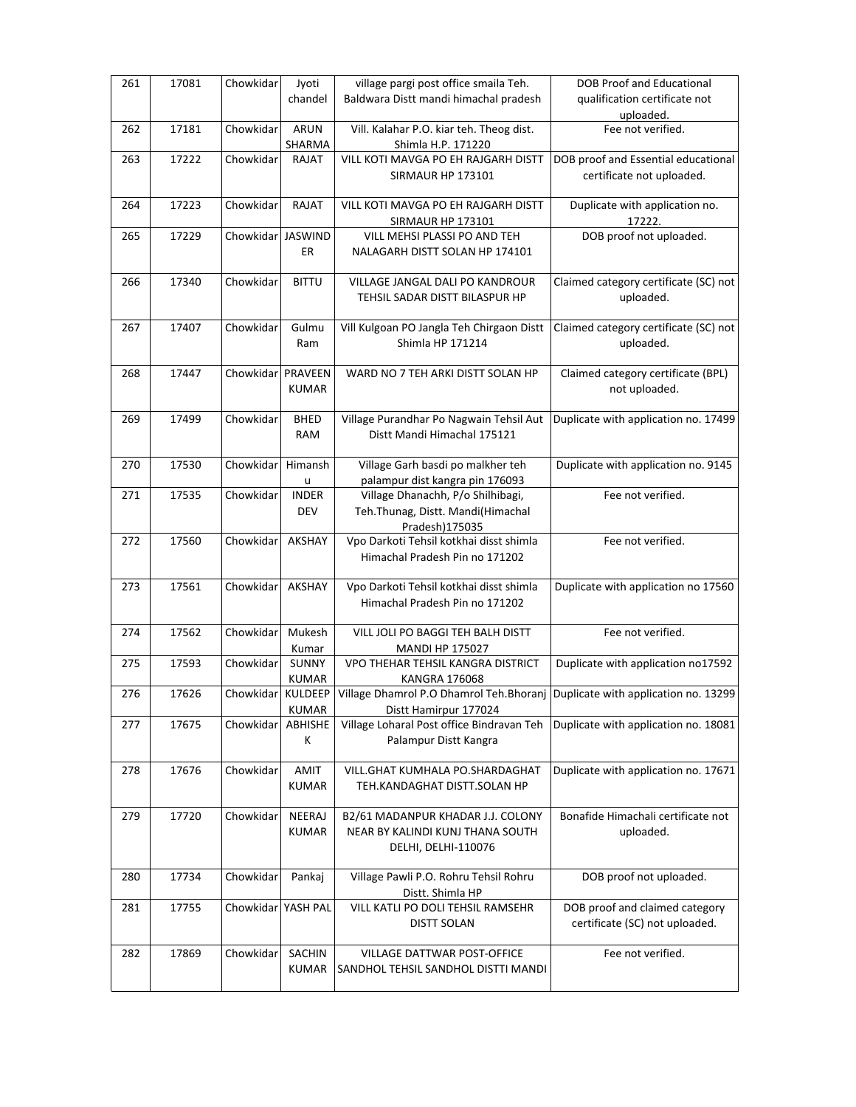| 261 | 17081 | Chowkidar          | Jyoti<br>chandel              | village pargi post office smaila Teh.<br>Baldwara Distt mandi himachal pradesh                        | <b>DOB Proof and Educational</b><br>qualification certificate not |
|-----|-------|--------------------|-------------------------------|-------------------------------------------------------------------------------------------------------|-------------------------------------------------------------------|
|     |       |                    |                               |                                                                                                       | uploaded.                                                         |
| 262 | 17181 | Chowkidar          | <b>ARUN</b>                   | Vill. Kalahar P.O. kiar teh. Theog dist.                                                              | Fee not verified.                                                 |
|     |       |                    | SHARMA                        | Shimla H.P. 171220                                                                                    |                                                                   |
| 263 | 17222 | Chowkidar          | RAJAT                         | VILL KOTI MAVGA PO EH RAJGARH DISTT<br><b>SIRMAUR HP 173101</b>                                       | DOB proof and Essential educational<br>certificate not uploaded.  |
| 264 | 17223 | Chowkidar          | <b>RAJAT</b>                  | VILL KOTI MAVGA PO EH RAJGARH DISTT<br><b>SIRMAUR HP 173101</b>                                       | Duplicate with application no.<br>17222.                          |
| 265 | 17229 | Chowkidar          | <b>JASWIND</b><br>ER          | VILL MEHSI PLASSI PO AND TEH<br>NALAGARH DISTT SOLAN HP 174101                                        | DOB proof not uploaded.                                           |
| 266 | 17340 | Chowkidar          | <b>BITTU</b>                  | VILLAGE JANGAL DALI PO KANDROUR<br>TEHSIL SADAR DISTT BILASPUR HP                                     | Claimed category certificate (SC) not<br>uploaded.                |
| 267 | 17407 | Chowkidar          | Gulmu<br>Ram                  | Vill Kulgoan PO Jangla Teh Chirgaon Distt<br>Shimla HP 171214                                         | Claimed category certificate (SC) not<br>uploaded.                |
| 268 | 17447 | Chowkidar          | PRAVEEN<br><b>KUMAR</b>       | WARD NO 7 TEH ARKI DISTT SOLAN HP                                                                     | Claimed category certificate (BPL)<br>not uploaded.               |
| 269 | 17499 | Chowkidar          | <b>BHED</b><br><b>RAM</b>     | Village Purandhar Po Nagwain Tehsil Aut<br>Distt Mandi Himachal 175121                                | Duplicate with application no. 17499                              |
| 270 | 17530 | Chowkidar          | Himansh<br>u                  | Village Garh basdi po malkher teh<br>palampur dist kangra pin 176093                                  | Duplicate with application no. 9145                               |
| 271 | 17535 | Chowkidar          | <b>INDER</b><br>DEV           | Village Dhanachh, P/o Shilhibagi,<br>Teh.Thunag, Distt. Mandi(Himachal<br>Pradesh) 175035             | Fee not verified.                                                 |
| 272 | 17560 | Chowkidar          | AKSHAY                        | Vpo Darkoti Tehsil kotkhai disst shimla<br>Himachal Pradesh Pin no 171202                             | Fee not verified.                                                 |
| 273 | 17561 | Chowkidar          | AKSHAY                        | Vpo Darkoti Tehsil kotkhai disst shimla<br>Himachal Pradesh Pin no 171202                             | Duplicate with application no 17560                               |
| 274 | 17562 | Chowkidar          | Mukesh<br>Kumar               | VILL JOLI PO BAGGI TEH BALH DISTT<br><b>MANDI HP 175027</b>                                           | Fee not verified.                                                 |
| 275 | 17593 | Chowkidar          | <b>SUNNY</b><br><b>KUMAR</b>  | VPO THEHAR TEHSIL KANGRA DISTRICT<br><b>KANGRA 176068</b>                                             | Duplicate with application no17592                                |
| 276 | 17626 | Chowkidar KULDEEP  | <b>KUMAR</b>                  | Village Dhamrol P.O Dhamrol Teh.Bhoranj Duplicate with application no. 13299<br>Distt Hamirpur 177024 |                                                                   |
| 277 | 17675 | Chowkidar          | ABHISHE<br>К                  | Village Loharal Post office Bindravan Teh<br>Palampur Distt Kangra                                    | Duplicate with application no. 18081                              |
| 278 | 17676 | Chowkidar          | AMIT<br><b>KUMAR</b>          | VILL.GHAT KUMHALA PO.SHARDAGHAT<br>TEH.KANDAGHAT DISTT.SOLAN HP                                       | Duplicate with application no. 17671                              |
| 279 | 17720 | Chowkidar          | NEERAJ<br><b>KUMAR</b>        | B2/61 MADANPUR KHADAR J.J. COLONY<br>NEAR BY KALINDI KUNJ THANA SOUTH<br>DELHI, DELHI-110076          | Bonafide Himachali certificate not<br>uploaded.                   |
| 280 | 17734 | Chowkidar          | Pankaj                        | Village Pawli P.O. Rohru Tehsil Rohru<br>Distt. Shimla HP                                             | DOB proof not uploaded.                                           |
| 281 | 17755 | Chowkidar YASH PAL |                               | VILL KATLI PO DOLI TEHSIL RAMSEHR<br><b>DISTT SOLAN</b>                                               | DOB proof and claimed category<br>certificate (SC) not uploaded.  |
| 282 | 17869 | Chowkidar          | <b>SACHIN</b><br><b>KUMAR</b> | VILLAGE DATTWAR POST-OFFICE<br>SANDHOL TEHSIL SANDHOL DISTTI MANDI                                    | Fee not verified.                                                 |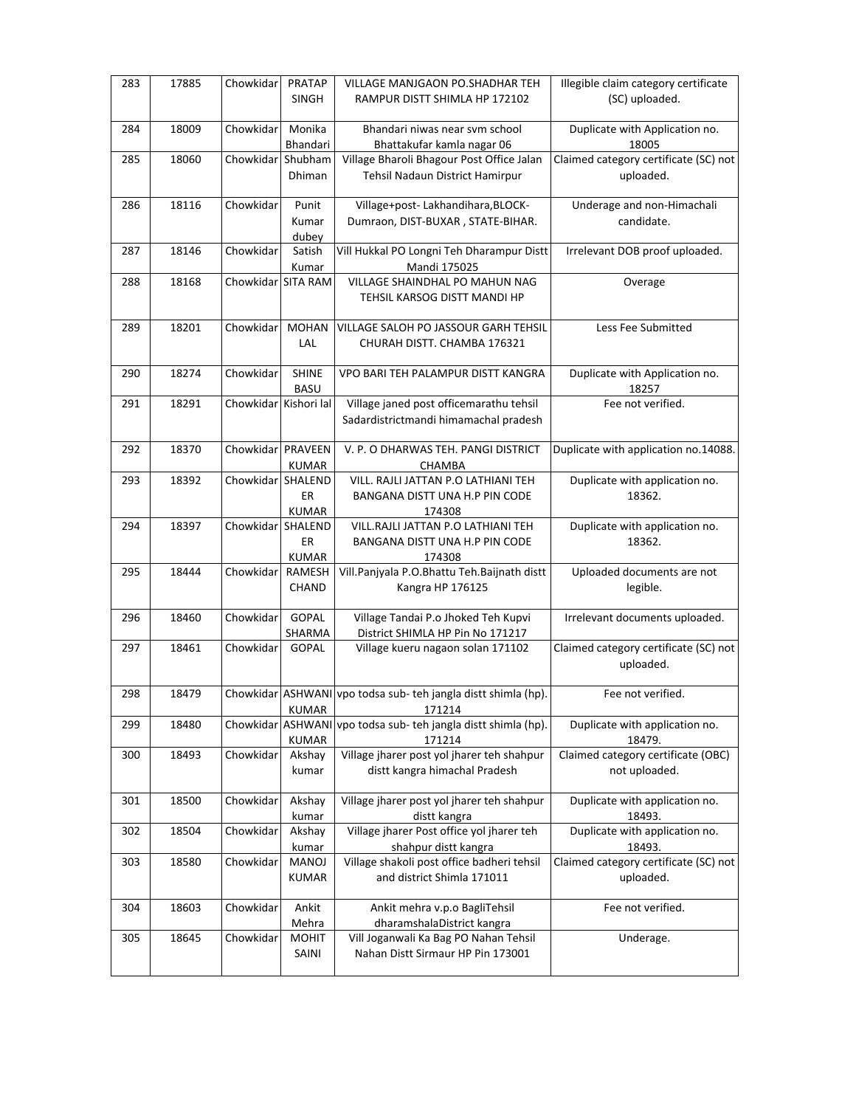| 283 | 17885 | Chowkidar             | <b>PRATAP</b><br><b>SINGH</b>  | VILLAGE MANJGAON PO.SHADHAR TEH<br>RAMPUR DISTT SHIMLA HP 172102                 | Illegible claim category certificate<br>(SC) uploaded. |
|-----|-------|-----------------------|--------------------------------|----------------------------------------------------------------------------------|--------------------------------------------------------|
| 284 | 18009 | Chowkidar             | Monika<br>Bhandari             | Bhandari niwas near svm school<br>Bhattakufar kamla nagar 06                     | Duplicate with Application no.<br>18005                |
| 285 | 18060 | Chowkidar             | Shubham<br>Dhiman              | Village Bharoli Bhagour Post Office Jalan<br>Tehsil Nadaun District Hamirpur     | Claimed category certificate (SC) not<br>uploaded.     |
| 286 | 18116 | Chowkidar             | Punit<br>Kumar<br>dubey        | Village+post- Lakhandihara, BLOCK-<br>Dumraon, DIST-BUXAR, STATE-BIHAR.          | Underage and non-Himachali<br>candidate.               |
| 287 | 18146 | Chowkidar             | Satish<br>Kumar                | Vill Hukkal PO Longni Teh Dharampur Distt<br>Mandi 175025                        | Irrelevant DOB proof uploaded.                         |
| 288 | 18168 | Chowkidar SITA RAM    |                                | VILLAGE SHAINDHAL PO MAHUN NAG<br>TEHSIL KARSOG DISTT MANDI HP                   | Overage                                                |
| 289 | 18201 | Chowkidar             | <b>MOHAN</b><br>LAL            | VILLAGE SALOH PO JASSOUR GARH TEHSIL<br>CHURAH DISTT. CHAMBA 176321              | Less Fee Submitted                                     |
| 290 | 18274 | Chowkidar             | <b>SHINE</b><br><b>BASU</b>    | VPO BARI TEH PALAMPUR DISTT KANGRA                                               | Duplicate with Application no.<br>18257                |
| 291 | 18291 | Chowkidar Kishori lal |                                | Village janed post officemarathu tehsil<br>Sadardistrictmandi himamachal pradesh | Fee not verified.                                      |
| 292 | 18370 | Chowkidar PRAVEEN     | <b>KUMAR</b>                   | V. P. O DHARWAS TEH. PANGI DISTRICT<br>CHAMBA                                    | Duplicate with application no.14088.                   |
| 293 | 18392 | Chowkidar             | SHALEND<br>ER<br><b>KUMAR</b>  | VILL. RAJLI JATTAN P.O LATHIANI TEH<br>BANGANA DISTT UNA H.P PIN CODE<br>174308  | Duplicate with application no.<br>18362.               |
| 294 | 18397 | Chowkidar             | SHALEND<br>ER<br><b>KUMAR</b>  | VILL.RAJLI JATTAN P.O LATHIANI TEH<br>BANGANA DISTT UNA H.P PIN CODE<br>174308   | Duplicate with application no.<br>18362.               |
| 295 | 18444 | Chowkidar             | RAMESH<br>CHAND                | Vill.Panjyala P.O.Bhattu Teh.Baijnath distt<br>Kangra HP 176125                  | Uploaded documents are not<br>legible.                 |
| 296 | 18460 | Chowkidar             | <b>GOPAL</b><br>SHARMA         | Village Tandai P.o Jhoked Teh Kupvi<br>District SHIMLA HP Pin No 171217          | Irrelevant documents uploaded.                         |
| 297 | 18461 | Chowkidar             | GOPAL                          | Village kueru nagaon solan 171102                                                | Claimed category certificate (SC) not<br>uploaded.     |
| 298 | 18479 |                       | <b>KUMAR</b>                   | Chowkidar ASHWANI vpo todsa sub- teh jangla distt shimla (hp).<br>171214         | Fee not verified.                                      |
| 299 | 18480 | Chowkidar             | <b>ASHWANI</b><br><b>KUMAR</b> | vpo todsa sub- teh jangla distt shimla (hp).<br>171214                           | Duplicate with application no.<br>18479.               |
| 300 | 18493 | Chowkidar             | Akshay<br>kumar                | Village jharer post yol jharer teh shahpur<br>distt kangra himachal Pradesh      | Claimed category certificate (OBC)<br>not uploaded.    |
| 301 | 18500 | Chowkidar             | Akshay<br>kumar                | Village jharer post yol jharer teh shahpur<br>distt kangra                       | Duplicate with application no.<br>18493.               |
| 302 | 18504 | Chowkidar             | Akshay<br>kumar                | Village jharer Post office yol jharer teh<br>shahpur distt kangra                | Duplicate with application no.<br>18493.               |
| 303 | 18580 | Chowkidar             | MANOJ<br><b>KUMAR</b>          | Village shakoli post office badheri tehsil<br>and district Shimla 171011         | Claimed category certificate (SC) not<br>uploaded.     |
| 304 | 18603 | Chowkidar             | Ankit<br>Mehra                 | Ankit mehra v.p.o BagliTehsil<br>dharamshalaDistrict kangra                      | Fee not verified.                                      |
| 305 | 18645 | Chowkidar             | <b>MOHIT</b><br>SAINI          | Vill Joganwali Ka Bag PO Nahan Tehsil<br>Nahan Distt Sirmaur HP Pin 173001       | Underage.                                              |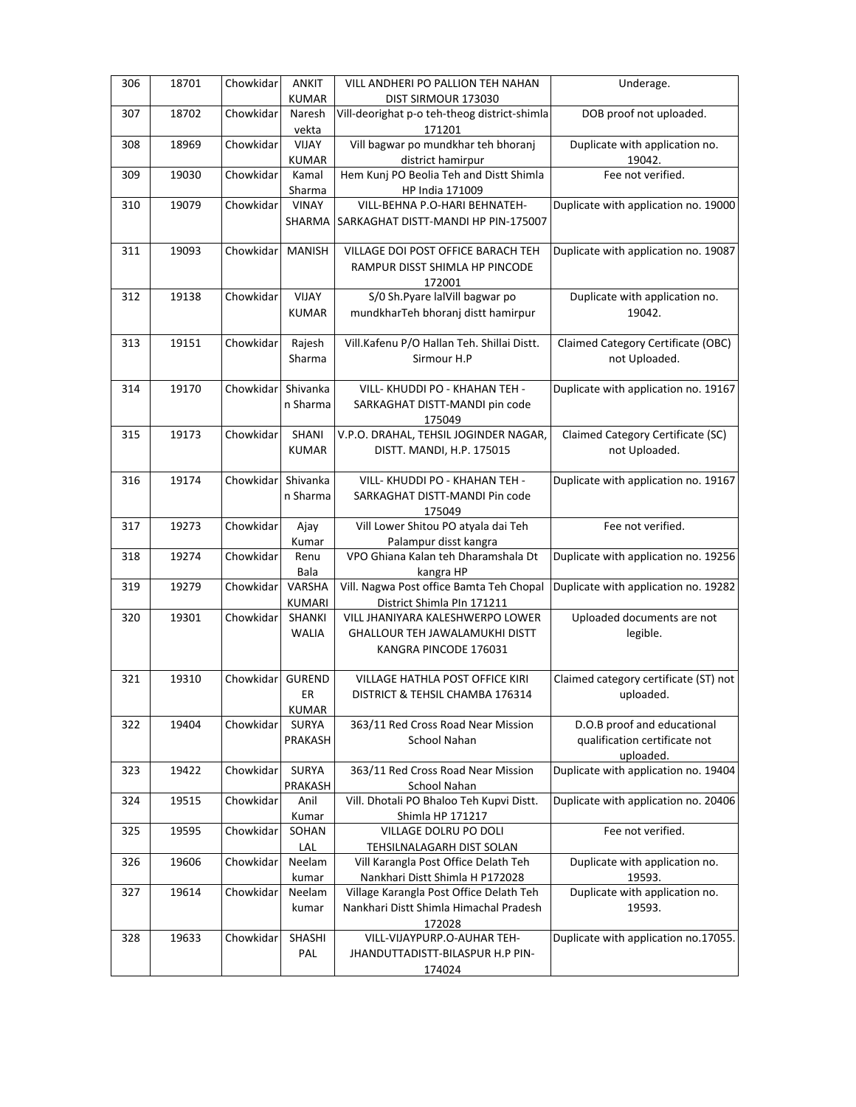|     | 18701 | Chowkidar | ANKIT                   |                                                          |                                                   |
|-----|-------|-----------|-------------------------|----------------------------------------------------------|---------------------------------------------------|
| 306 |       |           | <b>KUMAR</b>            | VILL ANDHERI PO PALLION TEH NAHAN<br>DIST SIRMOUR 173030 | Underage.                                         |
| 307 | 18702 | Chowkidar | Naresh                  | Vill-deorighat p-o teh-theog district-shimla             | DOB proof not uploaded.                           |
|     |       |           | vekta                   | 171201                                                   |                                                   |
| 308 | 18969 | Chowkidar | <b>VIJAY</b>            | Vill bagwar po mundkhar teh bhoranj                      | Duplicate with application no.                    |
|     |       |           | <b>KUMAR</b>            | district hamirpur                                        | 19042.                                            |
| 309 | 19030 | Chowkidar | Kamal                   | Hem Kunj PO Beolia Teh and Distt Shimla                  | Fee not verified.                                 |
|     |       |           | Sharma                  | HP India 171009                                          |                                                   |
| 310 | 19079 | Chowkidar | VINAY                   | VILL-BEHNA P.O-HARI BEHNATEH-                            | Duplicate with application no. 19000              |
|     |       |           | SHARMA                  | SARKAGHAT DISTT-MANDI HP PIN-175007                      |                                                   |
|     |       |           |                         |                                                          |                                                   |
| 311 | 19093 | Chowkidar | <b>MANISH</b>           | VILLAGE DOI POST OFFICE BARACH TEH                       | Duplicate with application no. 19087              |
|     |       |           |                         | RAMPUR DISST SHIMLA HP PINCODE                           |                                                   |
|     |       |           |                         | 172001                                                   |                                                   |
| 312 | 19138 | Chowkidar | VIJAY                   | S/0 Sh. Pyare lal Vill bagwar po                         | Duplicate with application no.                    |
|     |       |           | <b>KUMAR</b>            | mundkharTeh bhoranj distt hamirpur                       | 19042.                                            |
|     |       |           |                         |                                                          |                                                   |
| 313 | 19151 | Chowkidar | Rajesh                  | Vill.Kafenu P/O Hallan Teh. Shillai Distt.               | Claimed Category Certificate (OBC)                |
|     |       |           | Sharma                  | Sirmour H.P                                              | not Uploaded.                                     |
|     |       |           |                         |                                                          |                                                   |
| 314 | 19170 | Chowkidar | Shivanka                | VILL- KHUDDI PO - KHAHAN TEH -                           | Duplicate with application no. 19167              |
|     |       |           | n Sharma                | SARKAGHAT DISTT-MANDI pin code                           |                                                   |
|     |       |           |                         | 175049                                                   |                                                   |
| 315 | 19173 | Chowkidar | SHANI                   | V.P.O. DRAHAL, TEHSIL JOGINDER NAGAR,                    | Claimed Category Certificate (SC)                 |
|     |       |           | <b>KUMAR</b>            | DISTT. MANDI, H.P. 175015                                | not Uploaded.                                     |
|     |       |           |                         |                                                          |                                                   |
| 316 | 19174 | Chowkidar | Shivanka                | VILL- KHUDDI PO - KHAHAN TEH -                           | Duplicate with application no. 19167              |
|     |       |           | n Sharma                | SARKAGHAT DISTT-MANDI Pin code                           |                                                   |
|     |       |           |                         | 175049                                                   |                                                   |
| 317 | 19273 | Chowkidar | Ajay                    | Vill Lower Shitou PO atyala dai Teh                      | Fee not verified.                                 |
|     |       |           | Kumar                   | Palampur disst kangra                                    |                                                   |
| 318 | 19274 | Chowkidar | Renu                    | VPO Ghiana Kalan teh Dharamshala Dt                      | Duplicate with application no. 19256              |
|     |       |           | Bala                    | kangra HP                                                |                                                   |
| 319 | 19279 | Chowkidar | VARSHA                  | Vill. Nagwa Post office Bamta Teh Chopal                 | Duplicate with application no. 19282              |
|     |       |           | <b>KUMARI</b>           | District Shimla PIn 171211                               |                                                   |
| 320 | 19301 | Chowkidar | SHANKI                  | VILL JHANIYARA KALESHWERPO LOWER                         | Uploaded documents are not                        |
|     |       |           | <b>WALIA</b>            | <b>GHALLOUR TEH JAWALAMUKHI DISTT</b>                    | legible.                                          |
|     |       |           |                         | KANGRA PINCODE 176031                                    |                                                   |
|     |       |           |                         |                                                          | Claimed category certificate (ST) not             |
| 321 | 19310 | Chowkidar | <b>GUREND</b>           | VILLAGE HATHLA POST OFFICE KIRI                          |                                                   |
|     |       |           | ER                      | DISTRICT & TEHSIL CHAMBA 176314                          | uploaded.                                         |
|     |       | Chowkidar | <b>KUMAR</b>            |                                                          | D.O.B proof and educational                       |
| 322 | 19404 |           | <b>SURYA</b><br>PRAKASH | 363/11 Red Cross Road Near Mission                       |                                                   |
|     |       |           |                         | School Nahan                                             | qualification certificate not                     |
| 323 | 19422 | Chowkidar | SURYA                   | 363/11 Red Cross Road Near Mission                       | uploaded.<br>Duplicate with application no. 19404 |
|     |       |           | PRAKASH                 | School Nahan                                             |                                                   |
| 324 | 19515 | Chowkidar | Anil                    | Vill. Dhotali PO Bhaloo Teh Kupvi Distt.                 | Duplicate with application no. 20406              |
|     |       |           | Kumar                   | Shimla HP 171217                                         |                                                   |
| 325 | 19595 | Chowkidar | SOHAN                   | VILLAGE DOLRU PO DOLI                                    | Fee not verified.                                 |
|     |       |           | LAL                     | TEHSILNALAGARH DIST SOLAN                                |                                                   |
| 326 | 19606 | Chowkidar | Neelam                  | Vill Karangla Post Office Delath Teh                     | Duplicate with application no.                    |
|     |       |           | kumar                   | Nankhari Distt Shimla H P172028                          | 19593.                                            |
| 327 | 19614 | Chowkidar | Neelam                  | Village Karangla Post Office Delath Teh                  | Duplicate with application no.                    |
|     |       |           | kumar                   | Nankhari Distt Shimla Himachal Pradesh                   | 19593.                                            |
|     |       |           |                         | 172028                                                   |                                                   |
| 328 | 19633 | Chowkidar | SHASHI                  | VILL-VIJAYPURP.O-AUHAR TEH-                              | Duplicate with application no.17055.              |
|     |       |           | PAL                     | JHANDUTTADISTT-BILASPUR H.P PIN-                         |                                                   |
|     |       |           |                         | 174024                                                   |                                                   |
|     |       |           |                         |                                                          |                                                   |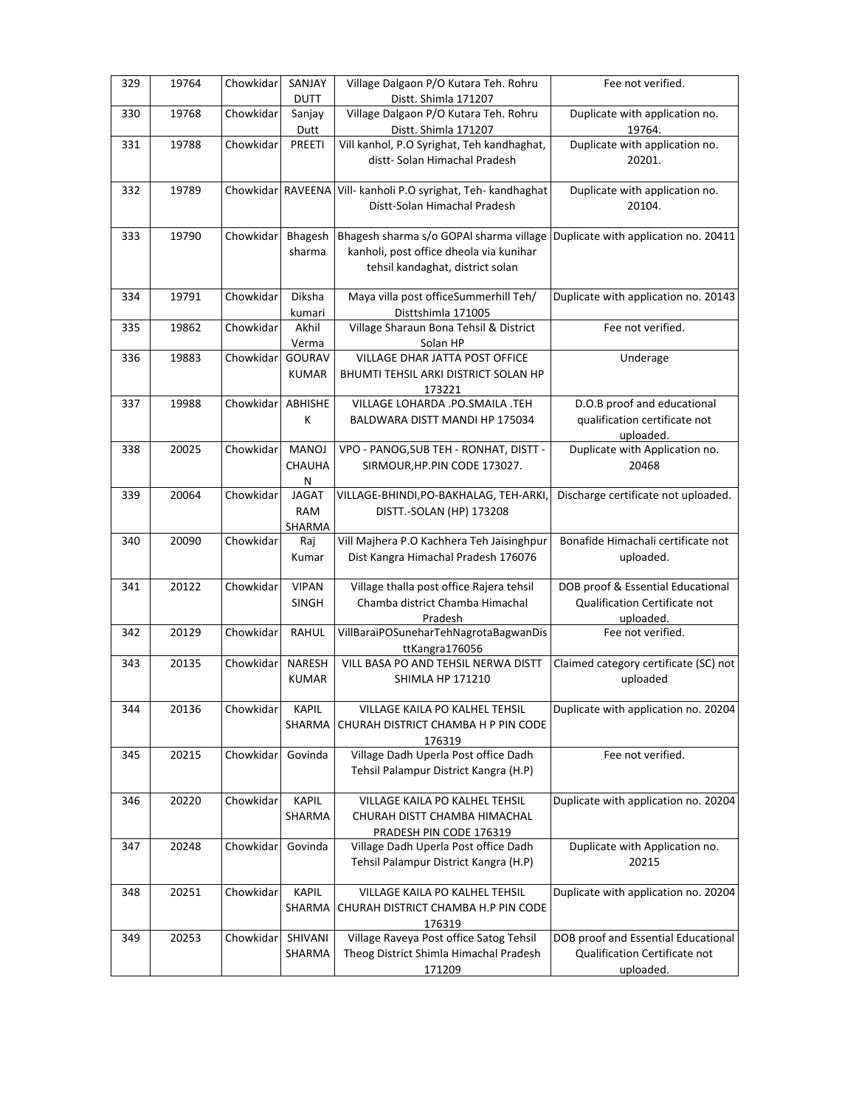| 329 | 19764 | Chowkidar         | SANJAY<br><b>DUTT</b>  | Village Dalgaon P/O Kutara Teh. Rohru<br>Distt. Shimla 171207                      | Fee not verified.                          |
|-----|-------|-------------------|------------------------|------------------------------------------------------------------------------------|--------------------------------------------|
| 330 | 19768 | Chowkidar         | Sanjay<br>Dutt         | Village Dalgaon P/O Kutara Teh. Rohru<br>Distt. Shimla 171207                      | Duplicate with application no.             |
| 331 | 19788 | Chowkidar         | PREETI                 | Vill kanhol, P.O Syrighat, Teh kandhaghat,                                         | 19764.<br>Duplicate with application no.   |
|     |       |                   |                        | distt-Solan Himachal Pradesh                                                       | 20201.                                     |
| 332 | 19789 | Chowkidar RAVEENA |                        | Vill- kanholi P.O syrighat, Teh- kandhaghat<br>Distt-Solan Himachal Pradesh        | Duplicate with application no.<br>20104.   |
|     |       |                   |                        |                                                                                    |                                            |
| 333 | 19790 | Chowkidar         | Bhagesh<br>sharma      | Bhagesh sharma s/o GOPAI sharma village<br>kanholi, post office dheola via kunihar | Duplicate with application no. 20411       |
|     |       |                   |                        | tehsil kandaghat, district solan                                                   |                                            |
|     |       |                   |                        |                                                                                    |                                            |
| 334 | 19791 | Chowkidar         | Diksha                 | Maya villa post officeSummerhill Teh/                                              | Duplicate with application no. 20143       |
| 335 | 19862 | Chowkidar         | kumari<br>Akhil        | Disttshimla 171005<br>Village Sharaun Bona Tehsil & District                       | Fee not verified.                          |
|     |       |                   | Verma                  | Solan HP                                                                           |                                            |
| 336 | 19883 | Chowkidar         | GOURAV                 | VILLAGE DHAR JATTA POST OFFICE                                                     | Underage                                   |
|     |       |                   | <b>KUMAR</b>           | BHUMTI TEHSIL ARKI DISTRICT SOLAN HP                                               |                                            |
| 337 | 19988 | Chowkidar         | ABHISHE                | 173221<br>VILLAGE LOHARDA .PO.SMAILA .TEH                                          | D.O.B proof and educational                |
|     |       |                   | K                      | BALDWARA DISTT MANDI HP 175034                                                     | qualification certificate not              |
|     |       |                   |                        |                                                                                    | uploaded.                                  |
| 338 | 20025 | Chowkidar         | <b>MANOJ</b>           | VPO - PANOG, SUB TEH - RONHAT, DISTT -                                             | Duplicate with Application no.             |
|     |       |                   | CHAUHA<br>${\sf N}$    | SIRMOUR, HP. PIN CODE 173027.                                                      | 20468                                      |
| 339 | 20064 | Chowkidar         | <b>JAGAT</b>           | VILLAGE-BHINDI, PO-BAKHALAG, TEH-ARKI                                              | Discharge certificate not uploaded.        |
|     |       |                   | <b>RAM</b>             | DISTT.-SOLAN (HP) 173208                                                           |                                            |
| 340 | 20090 | Chowkidar         | SHARMA<br>Raj          | Vill Majhera P.O Kachhera Teh Jaisinghpur                                          | Bonafide Himachali certificate not         |
|     |       |                   | Kumar                  | Dist Kangra Himachal Pradesh 176076                                                | uploaded.                                  |
|     |       |                   |                        |                                                                                    |                                            |
| 341 | 20122 | Chowkidar         | <b>VIPAN</b>           | Village thalla post office Rajera tehsil                                           | DOB proof & Essential Educational          |
|     |       |                   | SINGH                  | Chamba district Chamba Himachal<br>Pradesh                                         | Qualification Certificate not<br>uploaded. |
| 342 | 20129 | Chowkidar         | <b>RAHUL</b>           | VillBaraiPOSuneharTehNagrotaBagwanDis                                              | Fee not verified.                          |
|     |       |                   |                        | ttKangra176056                                                                     |                                            |
| 343 | 20135 | Chowkidar         | <b>NARESH</b>          | VILL BASA PO AND TEHSIL NERWA DISTT                                                | Claimed category certificate (SC) not      |
|     |       |                   | <b>KUMAR</b>           | <b>SHIMLA HP 171210</b>                                                            | uploaded                                   |
| 344 | 20136 | Chowkidar         | <b>KAPIL</b>           | VILLAGE KAILA PO KALHEL TEHSIL                                                     | Duplicate with application no. 20204       |
|     |       |                   | SHARMA                 | CHURAH DISTRICT CHAMBA H P PIN CODE                                                |                                            |
|     |       |                   |                        | 176319                                                                             |                                            |
| 345 | 20215 | Chowkidar         | Govinda                | Village Dadh Uperla Post office Dadh<br>Tehsil Palampur District Kangra (H.P)      | Fee not verified.                          |
|     |       |                   |                        |                                                                                    |                                            |
| 346 | 20220 | Chowkidar         | <b>KAPIL</b>           | VILLAGE KAILA PO KALHEL TEHSIL                                                     | Duplicate with application no. 20204       |
|     |       |                   | SHARMA                 | CHURAH DISTT CHAMBA HIMACHAL                                                       |                                            |
| 347 | 20248 | Chowkidar         | Govinda                | PRADESH PIN CODE 176319<br>Village Dadh Uperla Post office Dadh                    | Duplicate with Application no.             |
|     |       |                   |                        | Tehsil Palampur District Kangra (H.P)                                              | 20215                                      |
|     |       |                   |                        |                                                                                    |                                            |
| 348 | 20251 | Chowkidar         | <b>KAPIL</b><br>SHARMA | VILLAGE KAILA PO KALHEL TEHSIL<br>CHURAH DISTRICT CHAMBA H.P PIN CODE              | Duplicate with application no. 20204       |
|     |       |                   |                        | 176319                                                                             |                                            |
| 349 | 20253 | Chowkidar         | SHIVANI                | Village Raveya Post office Satog Tehsil                                            | DOB proof and Essential Educational        |
|     |       |                   | SHARMA                 | Theog District Shimla Himachal Pradesh                                             | Qualification Certificate not              |
|     |       |                   |                        | 171209                                                                             | uploaded.                                  |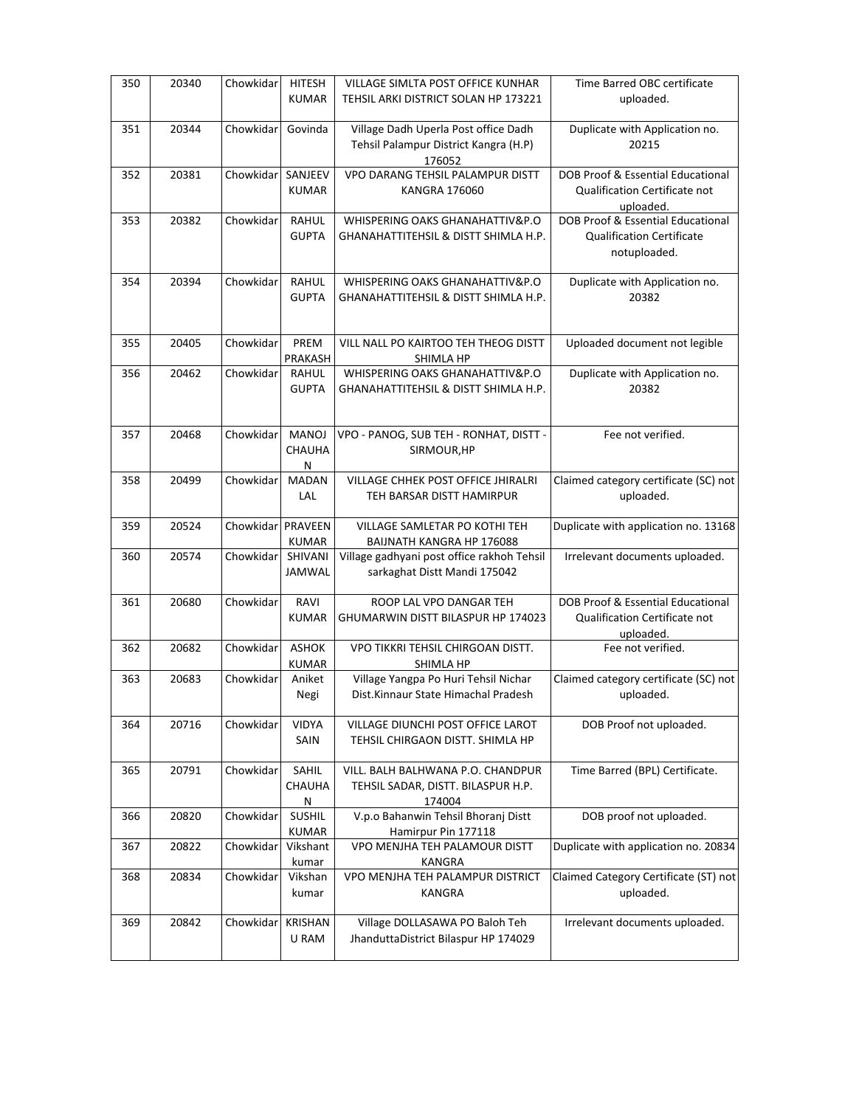| 350 | 20340 | Chowkidar | <b>HITESH</b>                 | VILLAGE SIMLTA POST OFFICE KUNHAR                                                 | Time Barred OBC certificate                                                     |
|-----|-------|-----------|-------------------------------|-----------------------------------------------------------------------------------|---------------------------------------------------------------------------------|
|     |       |           | <b>KUMAR</b>                  | TEHSIL ARKI DISTRICT SOLAN HP 173221                                              | uploaded.                                                                       |
| 351 | 20344 | Chowkidar | Govinda                       | Village Dadh Uperla Post office Dadh<br>Tehsil Palampur District Kangra (H.P)     | Duplicate with Application no.<br>20215                                         |
| 352 | 20381 | Chowkidar | SANJEEV                       | 176052<br>VPO DARANG TEHSIL PALAMPUR DISTT                                        | DOB Proof & Essential Educational                                               |
|     |       |           | <b>KUMAR</b>                  | <b>KANGRA 176060</b>                                                              | Qualification Certificate not<br>uploaded.                                      |
| 353 | 20382 | Chowkidar | RAHUL                         | WHISPERING OAKS GHANAHATTIV&P.O                                                   | DOB Proof & Essential Educational                                               |
|     |       |           | <b>GUPTA</b>                  | GHANAHATTITEHSIL & DISTT SHIMLA H.P.                                              | <b>Qualification Certificate</b><br>notuploaded.                                |
| 354 | 20394 | Chowkidar | <b>RAHUL</b><br><b>GUPTA</b>  | WHISPERING OAKS GHANAHATTIV&P.O<br>GHANAHATTITEHSIL & DISTT SHIMLA H.P.           | Duplicate with Application no.<br>20382                                         |
| 355 | 20405 | Chowkidar | PREM<br>PRAKASH               | VILL NALL PO KAIRTOO TEH THEOG DISTT<br>SHIMLA HP                                 | Uploaded document not legible                                                   |
| 356 | 20462 | Chowkidar | RAHUL<br><b>GUPTA</b>         | WHISPERING OAKS GHANAHATTIV&P.O<br>GHANAHATTITEHSIL & DISTT SHIMLA H.P.           | Duplicate with Application no.<br>20382                                         |
| 357 | 20468 | Chowkidar | <b>MANOJ</b><br>CHAUHA<br>N   | VPO - PANOG, SUB TEH - RONHAT, DISTT -<br>SIRMOUR, HP                             | Fee not verified.                                                               |
| 358 | 20499 | Chowkidar | <b>MADAN</b><br>LAL           | VILLAGE CHHEK POST OFFICE JHIRALRI<br>TEH BARSAR DISTT HAMIRPUR                   | Claimed category certificate (SC) not<br>uploaded.                              |
| 359 | 20524 | Chowkidar | PRAVEEN<br><b>KUMAR</b>       | VILLAGE SAMLETAR PO KOTHI TEH<br>BAIJNATH KANGRA HP 176088                        | Duplicate with application no. 13168                                            |
| 360 | 20574 | Chowkidar | SHIVANI<br><b>JAMWAL</b>      | Village gadhyani post office rakhoh Tehsil<br>sarkaghat Distt Mandi 175042        | Irrelevant documents uploaded.                                                  |
|     |       |           |                               |                                                                                   |                                                                                 |
| 361 | 20680 | Chowkidar | RAVI<br><b>KUMAR</b>          | ROOP LAL VPO DANGAR TEH<br>GHUMARWIN DISTT BILASPUR HP 174023                     | DOB Proof & Essential Educational<br>Qualification Certificate not<br>uploaded. |
| 362 | 20682 | Chowkidar | <b>ASHOK</b><br><b>KUMAR</b>  | VPO TIKKRI TEHSIL CHIRGOAN DISTT.<br>SHIMLA HP                                    | Fee not verified.                                                               |
| 363 | 20683 | Chowkidar | Aniket<br>Negi                | Village Yangpa Po Huri Tehsil Nichar<br>Dist.Kinnaur State Himachal Pradesh       | uploaded.                                                                       |
| 364 | 20716 | Chowkidar | <b>VIDYA</b><br>SAIN          | VILLAGE DIUNCHI POST OFFICE LAROT<br>TEHSIL CHIRGAON DISTT. SHIMLA HP             | Claimed category certificate (SC) not<br>DOB Proof not uploaded.                |
| 365 | 20791 | Chowkidar | SAHIL<br><b>CHAUHA</b><br>N   | VILL. BALH BALHWANA P.O. CHANDPUR<br>TEHSIL SADAR, DISTT. BILASPUR H.P.<br>174004 | Time Barred (BPL) Certificate.                                                  |
| 366 | 20820 | Chowkidar | <b>SUSHIL</b><br><b>KUMAR</b> | V.p.o Bahanwin Tehsil Bhoranj Distt<br>Hamirpur Pin 177118                        | DOB proof not uploaded.                                                         |
| 367 | 20822 | Chowkidar | Vikshant<br>kumar             | VPO MENJHA TEH PALAMOUR DISTT<br>KANGRA                                           | Duplicate with application no. 20834                                            |
| 368 | 20834 | Chowkidar | Vikshan<br>kumar              | VPO MENJHA TEH PALAMPUR DISTRICT<br>KANGRA                                        | Claimed Category Certificate (ST) not<br>uploaded.                              |